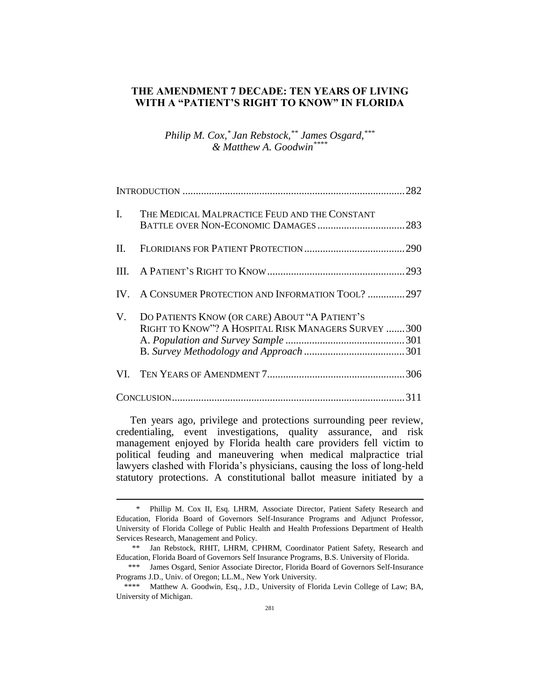### **THE AMENDMENT 7 DECADE: TEN YEARS OF LIVING WITH A "PATIENT'S RIGHT TO KNOW" IN FLORIDA**

## *Philip M. Cox, \* Jan Rebstock,\*\* James Osgard,\*\*\* & Matthew A. Goodwin\*\*\*\**

|    | I. THE MEDICAL MALPRACTICE FEUD AND THE CONSTANT                                                      |  |
|----|-------------------------------------------------------------------------------------------------------|--|
| Н. |                                                                                                       |  |
|    |                                                                                                       |  |
|    | IV. A CONSUMER PROTECTION AND INFORMATION TOOL? 297                                                   |  |
| V. | DO PATIENTS KNOW (OR CARE) ABOUT "A PATIENT'S<br>RIGHT TO KNOW"? A HOSPITAL RISK MANAGERS SURVEY  300 |  |
|    |                                                                                                       |  |
|    |                                                                                                       |  |

Ten years ago, privilege and protections surrounding peer review, credentialing, event investigations, quality assurance, and risk management enjoyed by Florida health care providers fell victim to political feuding and maneuvering when medical malpractice trial lawyers clashed with Florida's physicians, causing the loss of long-held statutory protections. A constitutional ballot measure initiated by a

<sup>\*</sup> Phillip M. Cox II, Esq. LHRM, Associate Director, Patient Safety Research and Education, Florida Board of Governors Self-Insurance Programs and Adjunct Professor, University of Florida College of Public Health and Health Professions Department of Health Services Research, Management and Policy.

<sup>\*\*</sup> Jan Rebstock, RHIT, LHRM, CPHRM, Coordinator Patient Safety, Research and Education, Florida Board of Governors Self Insurance Programs, B.S. University of Florida.

<sup>\*\*\*</sup> James Osgard, Senior Associate Director, Florida Board of Governors Self-Insurance Programs J.D., Univ. of Oregon; LL.M., New York University.

<sup>\*\*\*\*</sup> Matthew A. Goodwin, Esq., J.D., University of Florida Levin College of Law; BA, University of Michigan.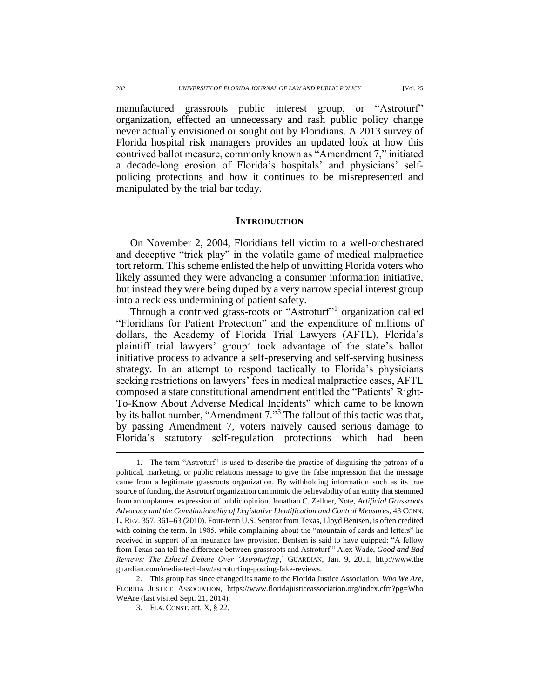manufactured grassroots public interest group, or "Astroturf" organization, effected an unnecessary and rash public policy change never actually envisioned or sought out by Floridians. A 2013 survey of Florida hospital risk managers provides an updated look at how this contrived ballot measure, commonly known as "Amendment 7," initiated a decade-long erosion of Florida's hospitals' and physicians' selfpolicing protections and how it continues to be misrepresented and manipulated by the trial bar today.

#### **INTRODUCTION**

On November 2, 2004, Floridians fell victim to a well-orchestrated and deceptive "trick play" in the volatile game of medical malpractice tort reform. This scheme enlisted the help of unwitting Florida voters who likely assumed they were advancing a consumer information initiative, but instead they were being duped by a very narrow special interest group into a reckless undermining of patient safety.

Through a contrived grass-roots or "Astroturf"<sup>1</sup> organization called "Floridians for Patient Protection" and the expenditure of millions of dollars, the Academy of Florida Trial Lawyers (AFTL), Florida's plaintiff trial lawyers' group<sup>2</sup> took advantage of the state's ballot initiative process to advance a self-preserving and self-serving business strategy. In an attempt to respond tactically to Florida's physicians seeking restrictions on lawyers' fees in medical malpractice cases, AFTL composed a state constitutional amendment entitled the "Patients' Right-To-Know About Adverse Medical Incidents" which came to be known by its ballot number, "Amendment 7."<sup>3</sup> The fallout of this tactic was that, by passing Amendment 7, voters naively caused serious damage to Florida's statutory self-regulation protections which had been

<sup>1.</sup> The term "Astroturf" is used to describe the practice of disguising the patrons of a political, marketing, or public relations message to give the false impression that the message came from a legitimate grassroots organization. By withholding information such as its true source of funding, the Astroturf organization can mimic the believability of an entity that stemmed from an unplanned expression of public opinion. Jonathan C. Zellner, Note, *Artificial Grassroots Advocacy and the Constitutionality of Legislative Identification and Control Measures*, 43 CONN. L. REV. 357, 361**–**63 (2010). Four-term U.S. Senator from Texas, Lloyd Bentsen, is often credited with coining the term. In 1985, while complaining about the "mountain of cards and letters" he received in support of an insurance law provision, Bentsen is said to have quipped: "A fellow from Texas can tell the difference between grassroots and Astroturf." Alex Wade, *Good and Bad Reviews: The Ethical Debate Over 'Astroturfing*,' GUARDIAN, Jan. 9, 2011, http://www.the guardian.com/media-tech-law/astroturfing-posting-fake-reviews.

<sup>2.</sup> This group has since changed its name to the Florida Justice Association. *Who We Are*, FLORIDA JUSTICE ASSOCIATION, https://www.floridajusticeassociation.org/index.cfm?pg=Who WeAre (last visited Sept. 21, 2014).

<sup>3.</sup> FLA. CONST. art. X, § 22.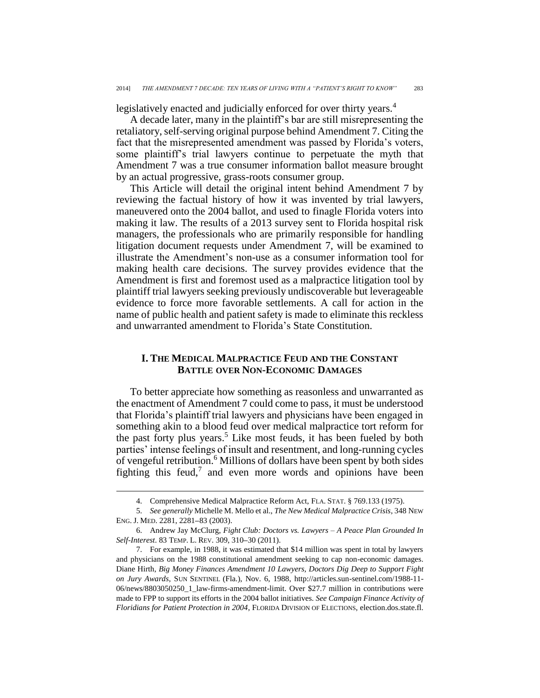legislatively enacted and judicially enforced for over thirty years.<sup>4</sup>

A decade later, many in the plaintiff's bar are still misrepresenting the retaliatory, self-serving original purpose behind Amendment 7. Citing the fact that the misrepresented amendment was passed by Florida's voters, some plaintiff's trial lawyers continue to perpetuate the myth that Amendment 7 was a true consumer information ballot measure brought by an actual progressive, grass-roots consumer group.

This Article will detail the original intent behind Amendment 7 by reviewing the factual history of how it was invented by trial lawyers, maneuvered onto the 2004 ballot, and used to finagle Florida voters into making it law. The results of a 2013 survey sent to Florida hospital risk managers, the professionals who are primarily responsible for handling litigation document requests under Amendment 7, will be examined to illustrate the Amendment's non-use as a consumer information tool for making health care decisions. The survey provides evidence that the Amendment is first and foremost used as a malpractice litigation tool by plaintiff trial lawyers seeking previously undiscoverable but leverageable evidence to force more favorable settlements. A call for action in the name of public health and patient safety is made to eliminate this reckless and unwarranted amendment to Florida's State Constitution.

### **I. THE MEDICAL MALPRACTICE FEUD AND THE CONSTANT BATTLE OVER NON-ECONOMIC DAMAGES**

To better appreciate how something as reasonless and unwarranted as the enactment of Amendment 7 could come to pass, it must be understood that Florida's plaintiff trial lawyers and physicians have been engaged in something akin to a blood feud over medical malpractice tort reform for the past forty plus years.<sup>5</sup> Like most feuds, it has been fueled by both parties' intense feelings of insult and resentment, and long-running cycles of vengeful retribution.<sup>6</sup> Millions of dollars have been spent by both sides fighting this feud, $7$  and even more words and opinions have been

<sup>4.</sup> Comprehensive Medical Malpractice Reform Act, FLA. STAT. § 769.133 (1975).

<sup>5.</sup> *See generally* Michelle M. Mello et al., *The New Medical Malpractice Crisis*, 348 NEW ENG. J. MED. 2281, 2281**–**83 (2003).

<sup>6.</sup> Andrew Jay McClurg, *Fight Club: Doctors vs. Lawyers – A Peace Plan Grounded In Self-Interest*. 83 TEMP. L. REV. 309, 310**–**30 (2011).

<sup>7.</sup> For example, in 1988, it was estimated that \$14 million was spent in total by lawyers and physicians on the 1988 constitutional amendment seeking to cap non-economic damages. Diane Hirth, *Big Money Finances Amendment 10 Lawyers, Doctors Dig Deep to Support Fight on Jury Awards*, SUN SENTINEL (Fla.), Nov. 6, 1988, http://articles.sun-sentinel.com/1988-11- 06/news/8803050250\_1\_law-firms-amendment-limit. Over \$27.7 million in contributions were made to FPP to support its efforts in the 2004 ballot initiatives. *See Campaign Finance Activity of Floridians for Patient Protection in 2004*, FLORIDA DIVISION OF ELECTIONS, election.dos.state.fl.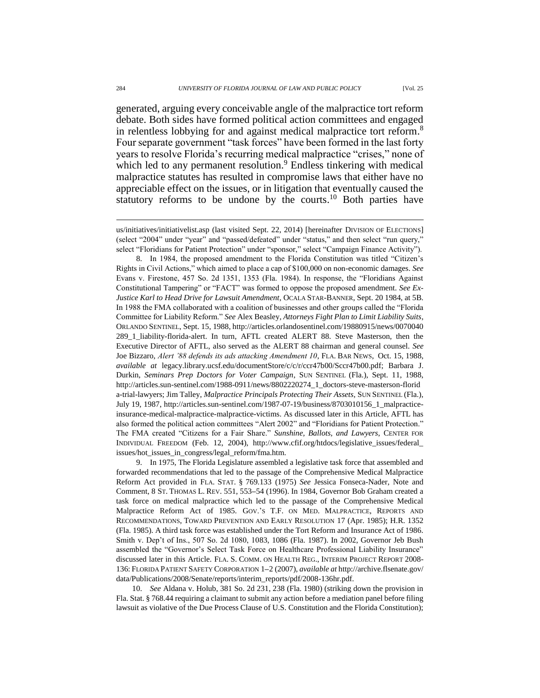generated, arguing every conceivable angle of the malpractice tort reform debate. Both sides have formed political action committees and engaged in relentless lobbying for and against medical malpractice tort reform.<sup>8</sup> Four separate government "task forces" have been formed in the last forty years to resolve Florida's recurring medical malpractice "crises," none of which led to any permanent resolution.<sup>9</sup> Endless tinkering with medical malpractice statutes has resulted in compromise laws that either have no appreciable effect on the issues, or in litigation that eventually caused the statutory reforms to be undone by the courts. <sup>10</sup> Both parties have

8. In 1984, the proposed amendment to the Florida Constitution was titled "Citizen's Rights in Civil Actions," which aimed to place a cap of \$100,000 on non-economic damages. *See* Evans v. Firestone, 457 So. 2d 1351, 1353 (Fla. 1984). In response, the "Floridians Against Constitutional Tampering" or "FACT" was formed to oppose the proposed amendment. *See Ex-Justice Karl to Head Drive for Lawsuit Amendment*, OCALA STAR-BANNER, Sept. 20 1984, at 5B. In 1988 the FMA collaborated with a coalition of businesses and other groups called the "Florida Committee for Liability Reform." *See* Alex Beasley, *Attorneys Fight Plan to Limit Liability Suits*, ORLANDO SENTINEL, Sept. 15, 1988, http://articles.orlandosentinel.com/19880915/news/0070040 289\_1\_liability-florida-alert. In turn, AFTL created ALERT 88. Steve Masterson, then the Executive Director of AFTL, also served as the ALERT 88 chairman and general counsel. *See*  Joe Bizzaro, *Alert '88 defends its ads attacking Amendment 10*, FLA. BAR NEWS, Oct. 15, 1988, *available at* legacy.library.ucsf.edu/documentStore/c/c/r/ccr47b00/Sccr47b00.pdf; Barbara J. Durkin, *Seminars Prep Doctors for Voter Campaign*, SUN SENTINEL (Fla.), Sept. 11, 1988, http://articles.sun-sentinel.com/1988-0911/news/8802220274\_1\_doctors-steve-masterson-florid a-trial-lawyers; Jim Talley, *Malpractice Principals Protecting Their Assets*, SUN SENTINEL (Fla.), July 19, 1987, http://articles.sun-sentinel.com/1987-07-19/business/8703010156\_1\_malpracticeinsurance-medical-malpractice-malpractice-victims. As discussed later in this Article, AFTL has also formed the political action committees "Alert 2002" and "Floridians for Patient Protection." The FMA created "Citizens for a Fair Share." *Sunshine, Ballots, and Lawyers*, CENTER FOR INDIVIDUAL FREEDOM (Feb. 12, 2004), http://www.cfif.org/htdocs/legislative\_issues/federal\_ issues/hot\_issues\_in\_congress/legal\_reform/fma.htm.

9. In 1975, The Florida Legislature assembled a legislative task force that assembled and forwarded recommendations that led to the passage of the Comprehensive Medical Malpractice Reform Act provided in FLA. STAT. § 769.133 (1975) *See* Jessica Fonseca-Nader, Note and Comment, 8 ST. THOMAS L. REV. 551, 553**–**54 (1996). In 1984, Governor Bob Graham created a task force on medical malpractice which led to the passage of the Comprehensive Medical Malpractice Reform Act of 1985. GOV.'S T.F. ON MED. MALPRACTICE, REPORTS AND RECOMMENDATIONS, TOWARD PREVENTION AND EARLY RESOLUTION 17 (Apr. 1985); H.R. 1352 (Fla. 1985). A third task force was established under the Tort Reform and Insurance Act of 1986. Smith v. Dep't of Ins., 507 So. 2d 1080, 1083, 1086 (Fla. 1987). In 2002, Governor Jeb Bush assembled the "Governor's Select Task Force on Healthcare Professional Liability Insurance" discussed later in this Article. FLA. S. COMM. ON HEALTH REG., INTERIM PROJECT REPORT 2008- 136: FLORIDA PATIENT SAFETY CORPORATION 1**–**2 (2007), *available at* http://archive.flsenate.gov/ data/Publications/2008/Senate/reports/interim\_reports/pdf/2008-136hr.pdf.

10. *See* Aldana v. Holub, 381 So. 2d 231, 238 (Fla. 1980) (striking down the provision in Fla. Stat. § 768.44 requiring a claimant to submit any action before a mediation panel before filing lawsuit as violative of the Due Process Clause of U.S. Constitution and the Florida Constitution);

us/initiatives/initiativelist.asp (last visited Sept. 22, 2014) [hereinafter DIVISION OF ELECTIONS] (select "2004" under "year" and "passed/defeated" under "status," and then select "run query," select "Floridians for Patient Protection" under "sponsor," select "Campaign Finance Activity").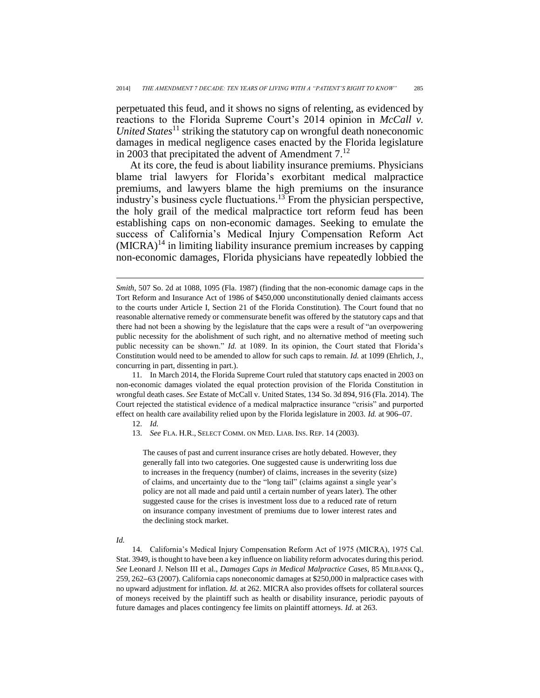perpetuated this feud, and it shows no signs of relenting, as evidenced by reactions to the Florida Supreme Court's 2014 opinion in *McCall v. United States*<sup>11</sup> striking the statutory cap on wrongful death noneconomic damages in medical negligence cases enacted by the Florida legislature in 2003 that precipitated the advent of Amendment  $7<sup>12</sup>$ 

At its core, the feud is about liability insurance premiums. Physicians blame trial lawyers for Florida's exorbitant medical malpractice premiums, and lawyers blame the high premiums on the insurance industry's business cycle fluctuations.<sup>13</sup> From the physician perspective, the holy grail of the medical malpractice tort reform feud has been establishing caps on non-economic damages. Seeking to emulate the success of California's Medical Injury Compensation Reform Act  $(MICRA)^{14}$  in limiting liability insurance premium increases by capping non-economic damages, Florida physicians have repeatedly lobbied the

11. In March 2014, the Florida Supreme Court ruled that statutory caps enacted in 2003 on non-economic damages violated the equal protection provision of the Florida Constitution in wrongful death cases. *See* Estate of McCall v. United States, 134 So. 3d 894, 916 (Fla. 2014). The Court rejected the statistical evidence of a medical malpractice insurance "crisis" and purported effect on health care availability relied upon by the Florida legislature in 2003. *Id.* at 906**–**07.

12. *Id.*

The causes of past and current insurance crises are hotly debated. However, they generally fall into two categories. One suggested cause is underwriting loss due to increases in the frequency (number) of claims, increases in the severity (size) of claims, and uncertainty due to the "long tail" (claims against a single year's policy are not all made and paid until a certain number of years later). The other suggested cause for the crises is investment loss due to a reduced rate of return on insurance company investment of premiums due to lower interest rates and the declining stock market.

*Id.*

 $\overline{a}$ 

14. California's Medical Injury Compensation Reform Act of 1975 (MICRA), 1975 Cal. Stat. 3949, is thought to have been a key influence on liability reform advocates during this period. *See* Leonard J. Nelson III et al., *Damages Caps in Medical Malpractice Cases*, 85 MILBANK Q., 259, 262**–**63 (2007). California caps noneconomic damages at \$250,000 in malpractice cases with no upward adjustment for inflation. *Id.* at 262. MICRA also provides offsets for collateral sources of moneys received by the plaintiff such as health or disability insurance, periodic payouts of future damages and places contingency fee limits on plaintiff attorneys. *Id.* at 263.

*Smith*, 507 So. 2d at 1088, 1095 (Fla. 1987) (finding that the non-economic damage caps in the Tort Reform and Insurance Act of 1986 of \$450,000 unconstitutionally denied claimants access to the courts under Article I, Section 21 of the Florida Constitution). The Court found that no reasonable alternative remedy or commensurate benefit was offered by the statutory caps and that there had not been a showing by the legislature that the caps were a result of "an overpowering public necessity for the abolishment of such right, and no alternative method of meeting such public necessity can be shown." *Id.* at 1089. In its opinion, the Court stated that Florida's Constitution would need to be amended to allow for such caps to remain. *Id.* at 1099 (Ehrlich, J., concurring in part, dissenting in part.).

<sup>13.</sup> *See* FLA. H.R., SELECT COMM. ON MED. LIAB. INS. REP. 14 (2003).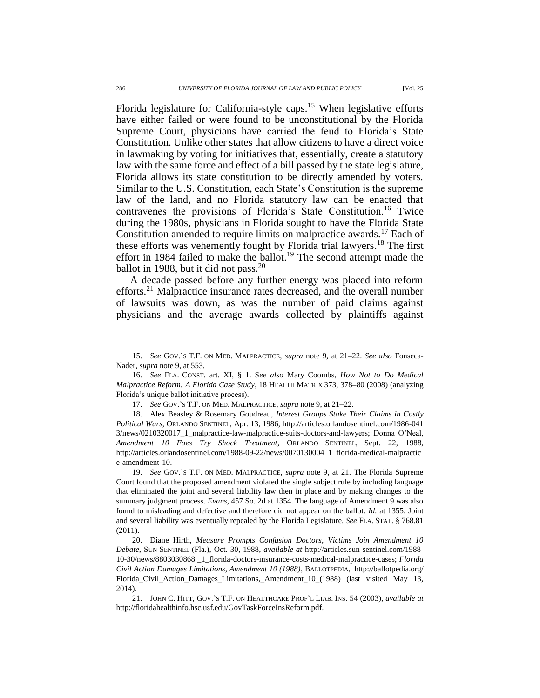Florida legislature for California-style caps.<sup>15</sup> When legislative efforts have either failed or were found to be unconstitutional by the Florida Supreme Court, physicians have carried the feud to Florida's State Constitution. Unlike other states that allow citizens to have a direct voice in lawmaking by voting for initiatives that, essentially, create a statutory law with the same force and effect of a bill passed by the state legislature, Florida allows its state constitution to be directly amended by voters. Similar to the U.S. Constitution, each State's Constitution is the supreme law of the land, and no Florida statutory law can be enacted that contravenes the provisions of Florida's State Constitution.<sup>16</sup> Twice during the 1980s, physicians in Florida sought to have the Florida State Constitution amended to require limits on malpractice awards.<sup>17</sup> Each of these efforts was vehemently fought by Florida trial lawyers. <sup>18</sup> The first effort in 1984 failed to make the ballot. <sup>19</sup> The second attempt made the ballot in 1988, but it did not pass. $20$ 

A decade passed before any further energy was placed into reform efforts.<sup>21</sup> Malpractice insurance rates decreased, and the overall number of lawsuits was down, as was the number of paid claims against physicians and the average awards collected by plaintiffs against

<sup>15.</sup> *See* GOV.'S T.F. ON MED. MALPRACTICE, *supra* note 9, at 21**–**22. *See also* Fonseca-Nader, *supra* note 9, at 553.

<sup>16.</sup> *See* FLA. CONST. art. XI, § 1. S*ee also* Mary Coombs*, How Not to Do Medical Malpractice Reform: A Florida Case Study*, 18 HEALTH MATRIX 373, 378**–**80 (2008) (analyzing Florida's unique ballot initiative process).

<sup>17.</sup> *See* GOV.'S T.F. ON MED. MALPRACTICE, *supra* note 9, at 21**–**22.

<sup>18.</sup> Alex Beasley & Rosemary Goudreau, *Interest Groups Stake Their Claims in Costly Political Wars*, ORLANDO SENTINEL, Apr. 13, 1986, http://articles.orlandosentinel.com/1986-041 3/news/0210320017\_1\_malpractice-law-malpractice-suits-doctors-and-lawyers; Donna O'Neal, *Amendment 10 Foes Try Shock Treatment*, ORLANDO SENTINEL, Sept. 22, 1988, http://articles.orlandosentinel.com/1988-09-22/news/0070130004\_1\_florida-medical-malpractic e-amendment-10.

<sup>19.</sup> *See* GOV.'S T.F. ON MED. MALPRACTICE, *supra* note 9, at 21. The Florida Supreme Court found that the proposed amendment violated the single subject rule by including language that eliminated the joint and several liability law then in place and by making changes to the summary judgment process. *Evans*, 457 So. 2d at 1354. The language of Amendment 9 was also found to misleading and defective and therefore did not appear on the ballot. *Id.* at 1355. Joint and several liability was eventually repealed by the Florida Legislature. *See* FLA. STAT. § 768.81 (2011).

<sup>20.</sup> Diane Hirth, *Measure Prompts Confusion Doctors, Victims Join Amendment 10 Debate*, SUN SENTINEL (Fla.), Oct. 30, 1988, *available at* http://articles.sun-sentinel.com/1988- 10-30/news/8803030868 \_1\_florida-doctors-insurance-costs-medical-malpractice-cases; *Florida Civil Action Damages Limitations, Amendment 10 (1988)*, BALLOTPEDIA, http://ballotpedia.org/ Florida\_Civil\_Action\_Damages\_Limitations,\_Amendment\_10\_(1988) (last visited May 13, 2014).

<sup>21.</sup> JOHN C. HITT, GOV.'S T.F. ON HEALTHCARE PROF'L LIAB. INS. 54 (2003), *available at* http://floridahealthinfo.hsc.usf.edu/GovTaskForceInsReform.pdf.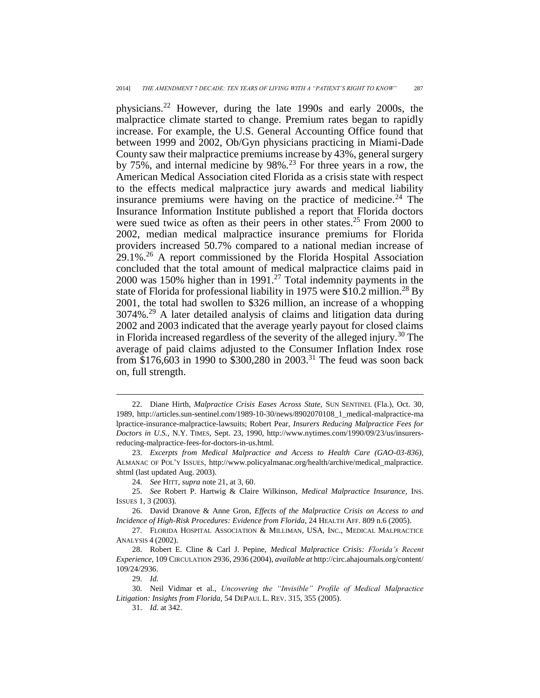physicians.<sup>22</sup> However, during the late 1990s and early 2000s, the malpractice climate started to change. Premium rates began to rapidly increase. For example, the U.S. General Accounting Office found that between 1999 and 2002, Ob/Gyn physicians practicing in Miami-Dade County saw their malpractice premiums increase by 43%, general surgery by  $75\%$ , and internal medicine by  $98\%$ .<sup>23</sup> For three years in a row, the American Medical Association cited Florida as a crisis state with respect to the effects medical malpractice jury awards and medical liability insurance premiums were having on the practice of medicine.<sup>24</sup> The Insurance Information Institute published a report that Florida doctors were sued twice as often as their peers in other states.<sup>25</sup> From 2000 to 2002, median medical malpractice insurance premiums for Florida providers increased 50.7% compared to a national median increase of  $29.1\%$ <sup>26</sup> A report commissioned by the Florida Hospital Association concluded that the total amount of medical malpractice claims paid in 2000 was 150% higher than in 1991.<sup>27</sup> Total indemnity payments in the state of Florida for professional liability in 1975 were \$10.2 million.<sup>28</sup> By 2001, the total had swollen to \$326 million, an increase of a whopping 3074%.<sup>29</sup> A later detailed analysis of claims and litigation data during 2002 and 2003 indicated that the average yearly payout for closed claims in Florida increased regardless of the severity of the alleged injury.<sup>30</sup> The average of paid claims adjusted to the Consumer Inflation Index rose from \$176,603 in 1990 to \$300,280 in 2003.<sup>31</sup> The feud was soon back on, full strength.

<sup>22.</sup> Diane Hirth, *Malpractice Crisis Eases Across State,* SUN SENTINEL (Fla.), Oct. 30, 1989, http://articles.sun-sentinel.com/1989-10-30/news/8902070108\_1\_medical-malpractice-ma lpractice-insurance-malpractice-lawsuits; Robert Pear, *Insurers Reducing Malpractice Fees for Doctors in U.S.*, N.Y. TIMES, Sept. 23, 1990, http://www.nytimes.com/1990/09/23/us/insurersreducing-malpractice-fees-for-doctors-in-us.html.

<sup>23.</sup> *Excerpts from Medical Malpractice and Access to Health Care (GAO-03-836)*, ALMANAC OF POL'Y ISSUES, http://www.policyalmanac.org/health/archive/medical\_malpractice. shtml (last updated Aug. 2003).

<sup>24.</sup> *See* HITT, *supra* note 21, at 3, 60.

<sup>25.</sup> *See* Robert P. Hartwig & Claire Wilkinson, *Medical Malpractice Insurance*, INS. ISSUES 1, 3 (2003).

<sup>26.</sup> David Dranove & Anne Gron, *Effects of the Malpractice Crisis on Access to and Incidence of High-Risk Procedures: Evidence from Florida*, 24 HEALTH AFF. 809 n.6 (2005).

<sup>27.</sup> FLORIDA HOSPITAL ASSOCIATION & MILLIMAN, USA, INC., MEDICAL MALPRACTICE ANALYSIS 4 (2002).

<sup>28.</sup> Robert E. Cline & Carl J. Pepine, *Medical Malpractice Crisis: Florida's Recent Experience*, 109 CIRCULATION 2936, 2936 (2004), *available at* http://circ.ahajournals.org/content/ 109/24/2936.

<sup>29.</sup> *Id.*

<sup>30.</sup> Neil Vidmar et al., *Uncovering the "Invisible" Profile of Medical Malpractice Litigation: Insights from Florida*, 54 DEPAUL L. REV. 315, 355 (2005).

<sup>31.</sup> *Id.* at 342.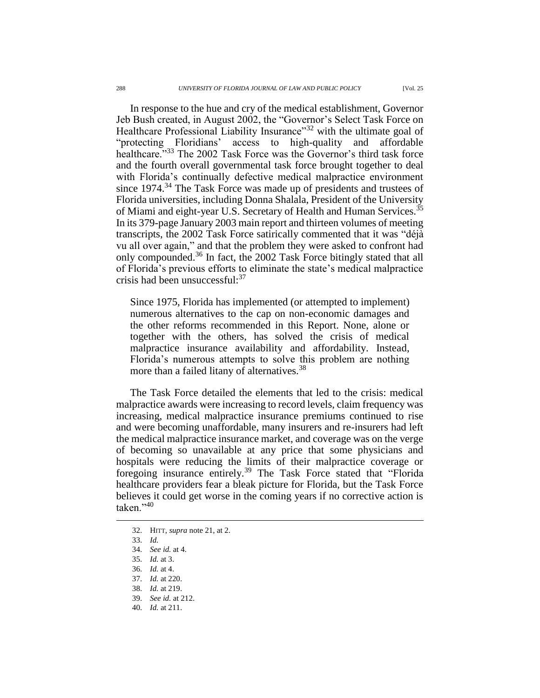In response to the hue and cry of the medical establishment, Governor Jeb Bush created, in August 2002, the "Governor's Select Task Force on Healthcare Professional Liability Insurance"<sup>32</sup> with the ultimate goal of "protecting Floridians' access to high-quality and affordable healthcare."<sup>33</sup> The 2002 Task Force was the Governor's third task force and the fourth overall governmental task force brought together to deal with Florida's continually defective medical malpractice environment since 1974.<sup>34</sup> The Task Force was made up of presidents and trustees of Florida universities, including Donna Shalala, President of the University of Miami and eight-year U.S. Secretary of Health and Human Services.<sup>35</sup> In its 379-page January 2003 main report and thirteen volumes of meeting transcripts, the 2002 Task Force satirically commented that it was "déjà vu all over again," and that the problem they were asked to confront had only compounded.<sup>36</sup> In fact, the 2002 Task Force bitingly stated that all of Florida's previous efforts to eliminate the state's medical malpractice crisis had been unsuccessful:<sup>37</sup>

Since 1975, Florida has implemented (or attempted to implement) numerous alternatives to the cap on non-economic damages and the other reforms recommended in this Report. None, alone or together with the others, has solved the crisis of medical malpractice insurance availability and affordability. Instead, Florida's numerous attempts to solve this problem are nothing more than a failed litany of alternatives.<sup>38</sup>

The Task Force detailed the elements that led to the crisis: medical malpractice awards were increasing to record levels, claim frequency was increasing, medical malpractice insurance premiums continued to rise and were becoming unaffordable, many insurers and re-insurers had left the medical malpractice insurance market, and coverage was on the verge of becoming so unavailable at any price that some physicians and hospitals were reducing the limits of their malpractice coverage or foregoing insurance entirely.<sup>39</sup> The Task Force stated that "Florida" healthcare providers fear a bleak picture for Florida, but the Task Force believes it could get worse in the coming years if no corrective action is taken<sup>"40</sup>

<sup>32.</sup> HITT, *supra* note 21, at 2.

<sup>33.</sup> *Id.*

<sup>34.</sup> *See id.* at 4*.*

<sup>35.</sup> *Id.* at 3.

<sup>36.</sup> *Id.* at 4.

<sup>37.</sup> *Id.* at 220.

<sup>38.</sup> *Id.* at 219.

<sup>39.</sup> *See id.* at 212.

<sup>40.</sup> *Id.* at 211.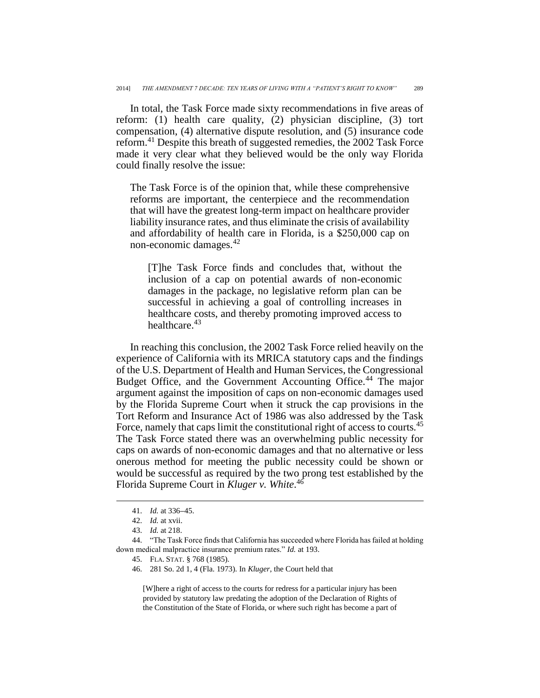In total, the Task Force made sixty recommendations in five areas of reform: (1) health care quality, (2) physician discipline, (3) tort compensation, (4) alternative dispute resolution, and (5) insurance code reform.<sup>41</sup> Despite this breath of suggested remedies, the 2002 Task Force made it very clear what they believed would be the only way Florida could finally resolve the issue:

The Task Force is of the opinion that, while these comprehensive reforms are important, the centerpiece and the recommendation that will have the greatest long-term impact on healthcare provider liability insurance rates, and thus eliminate the crisis of availability and affordability of health care in Florida, is a \$250,000 cap on non-economic damages.<sup>42</sup>

[T]he Task Force finds and concludes that, without the inclusion of a cap on potential awards of non-economic damages in the package, no legislative reform plan can be successful in achieving a goal of controlling increases in healthcare costs, and thereby promoting improved access to healthcare.<sup>43</sup>

In reaching this conclusion, the 2002 Task Force relied heavily on the experience of California with its MRICA statutory caps and the findings of the U.S. Department of Health and Human Services, the Congressional Budget Office, and the Government Accounting Office.<sup>44</sup> The major argument against the imposition of caps on non-economic damages used by the Florida Supreme Court when it struck the cap provisions in the Tort Reform and Insurance Act of 1986 was also addressed by the Task Force, namely that caps limit the constitutional right of access to courts.<sup>45</sup> The Task Force stated there was an overwhelming public necessity for caps on awards of non-economic damages and that no alternative or less onerous method for meeting the public necessity could be shown or would be successful as required by the two prong test established by the Florida Supreme Court in *Kluger v. White*. 46

 $\overline{a}$ 

[W]here a right of access to the courts for redress for a particular injury has been provided by statutory law predating the adoption of the Declaration of Rights of the Constitution of the State of Florida, or where such right has become a part of

<sup>41.</sup> *Id.* at 336**–**45.

<sup>42.</sup> *Id.* at xvii.

<sup>43.</sup> *Id.* at 218.

<sup>44.</sup> "The Task Force finds that California has succeeded where Florida has failed at holding down medical malpractice insurance premium rates." *Id.* at 193.

<sup>45.</sup> FLA. STAT. § 768 (1985).

<sup>46.</sup> 281 So. 2d 1, 4 (Fla. 1973). In *Kluger*, the Court held that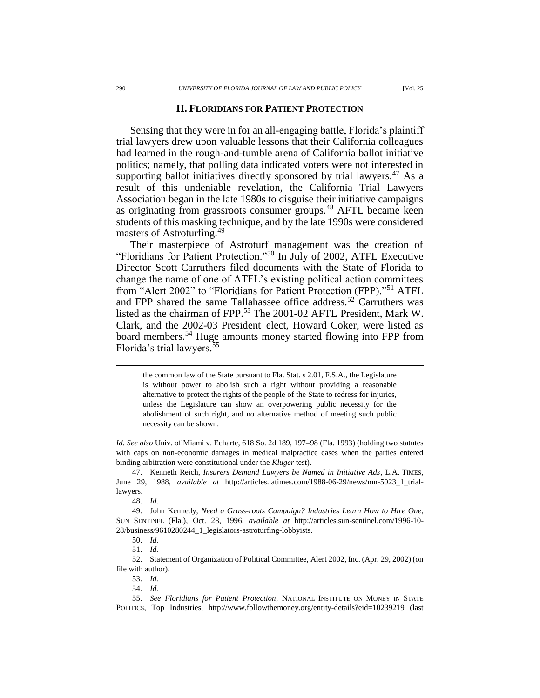Sensing that they were in for an all-engaging battle, Florida's plaintiff trial lawyers drew upon valuable lessons that their California colleagues had learned in the rough-and-tumble arena of California ballot initiative politics; namely, that polling data indicated voters were not interested in supporting ballot initiatives directly sponsored by trial lawyers. $47$  As a result of this undeniable revelation, the California Trial Lawyers Association began in the late 1980s to disguise their initiative campaigns as originating from grassroots consumer groups.<sup>48</sup> AFTL became keen students of this masking technique, and by the late 1990s were considered masters of Astroturfing.<sup>49</sup>

Their masterpiece of Astroturf management was the creation of "Floridians for Patient Protection."<sup>50</sup> In July of 2002, ATFL Executive Director Scott Carruthers filed documents with the State of Florida to change the name of one of ATFL's existing political action committees from "Alert 2002" to "Floridians for Patient Protection (FPP)."<sup>51</sup> ATFL and FPP shared the same Tallahassee office address.<sup>52</sup> Carruthers was listed as the chairman of FPP.<sup>53</sup> The 2001-02 AFTL President, Mark W. Clark, and the 2002-03 President–elect, Howard Coker, were listed as board members.<sup>54</sup> Huge amounts money started flowing into FPP from Florida's trial lawyers. 55

the common law of the State pursuant to Fla. Stat. s 2.01, F.S.A., the Legislature is without power to abolish such a right without providing a reasonable alternative to protect the rights of the people of the State to redress for injuries, unless the Legislature can show an overpowering public necessity for the abolishment of such right, and no alternative method of meeting such public necessity can be shown.

*Id. See also* Univ. of Miami v. Echarte, 618 So. 2d 189, 197**–**98 (Fla. 1993) (holding two statutes with caps on non-economic damages in medical malpractice cases when the parties entered binding arbitration were constitutional under the *Kluger* test).

47. Kenneth Reich, *Insurers Demand Lawyers be Named in Initiative Ads*, L.A. TIMES, June 29, 1988, *available at* http://articles.latimes.com/1988-06-29/news/mn-5023\_1\_triallawyers.

<sup>48.</sup> *Id.*

<sup>49.</sup> John Kennedy, *Need a Grass-roots Campaign? Industries Learn How to Hire One*, SUN SENTINEL (Fla.), Oct. 28, 1996, *available at* http://articles.sun-sentinel.com/1996-10- 28/business/9610280244\_1\_legislators-astroturfing-lobbyists.

<sup>50.</sup> *Id.*

<sup>51.</sup> *Id.*

<sup>52.</sup> Statement of Organization of Political Committee, Alert 2002, Inc. (Apr. 29, 2002) (on file with author).

<sup>53.</sup> *Id.* 54. *Id.*

<sup>55.</sup> *See Floridians for Patient Protection*, NATIONAL INSTITUTE ON MONEY IN STATE POLITICS, Top Industries, http://www.followthemoney.org/entity-details?eid=10239219 (last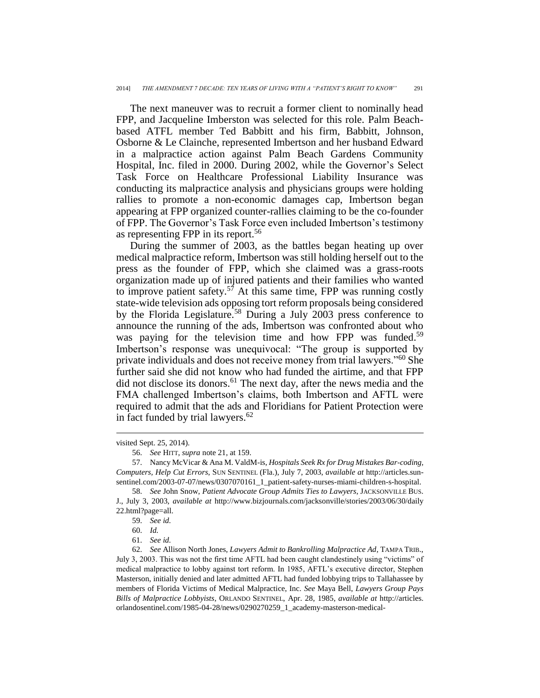The next maneuver was to recruit a former client to nominally head FPP, and Jacqueline Imberston was selected for this role. Palm Beachbased ATFL member Ted Babbitt and his firm, Babbitt, Johnson, Osborne & Le Clainche, represented Imbertson and her husband Edward in a malpractice action against Palm Beach Gardens Community Hospital, Inc. filed in 2000. During 2002, while the Governor's Select Task Force on Healthcare Professional Liability Insurance was conducting its malpractice analysis and physicians groups were holding rallies to promote a non-economic damages cap, Imbertson began appearing at FPP organized counter-rallies claiming to be the co-founder of FPP. The Governor's Task Force even included Imbertson's testimony as representing FPP in its report.<sup>56</sup>

During the summer of 2003, as the battles began heating up over medical malpractice reform, Imbertson was still holding herself out to the press as the founder of FPP, which she claimed was a grass-roots organization made up of injured patients and their families who wanted to improve patient safety.<sup>57</sup> At this same time, FPP was running costly state-wide television ads opposing tort reform proposals being considered by the Florida Legislature.<sup>58</sup> During a July 2003 press conference to announce the running of the ads, Imbertson was confronted about who was paying for the television time and how FPP was funded.<sup>59</sup> Imbertson's response was unequivocal: "The group is supported by private individuals and does not receive money from trial lawyers."<sup>60</sup> She further said she did not know who had funded the airtime, and that FPP did not disclose its donors. <sup>61</sup> The next day, after the news media and the FMA challenged Imbertson's claims, both Imbertson and AFTL were required to admit that the ads and Floridians for Patient Protection were in fact funded by trial lawyers. 62

visited Sept. 25, 2014).

<sup>56.</sup> *See* HITT, *supra* note 21, at 159.

<sup>57.</sup> Nancy McVicar & Ana M. ValdM-is, *Hospitals Seek Rx for Drug Mistakes Bar-coding, Computers, Help Cut Errors*, SUN SENTINEL (Fla.), July 7, 2003, *available at* http://articles.sunsentinel.com/2003-07-07/news/0307070161\_1\_patient-safety-nurses-miami-children-s-hospital.

<sup>58.</sup> *See* John Snow, *Patient Advocate Group Admits Ties to Lawyers*, JACKSONVILLE BUS. J., July 3, 2003, *available at* http://www.bizjournals.com/jacksonville/stories/2003/06/30/daily 22.html?page=all.

<sup>59.</sup> *See id.*

<sup>60.</sup> *Id.*

<sup>61.</sup> *See id.*

<sup>62.</sup> *See* Allison North Jones, *Lawyers Admit to Bankrolling Malpractice Ad*, TAMPA TRIB., July 3, 2003. This was not the first time AFTL had been caught clandestinely using "victims" of medical malpractice to lobby against tort reform. In 1985, AFTL's executive director, Stephen Masterson, initially denied and later admitted AFTL had funded lobbying trips to Tallahassee by members of Florida Victims of Medical Malpractice, Inc. *See* Maya Bell, *Lawyers Group Pays Bills of Malpractice Lobbyists*, ORLANDO SENTINEL, Apr. 28, 1985, *available at* http://articles. orlandosentinel.com/1985-04-28/news/0290270259\_1\_academy-masterson-medical-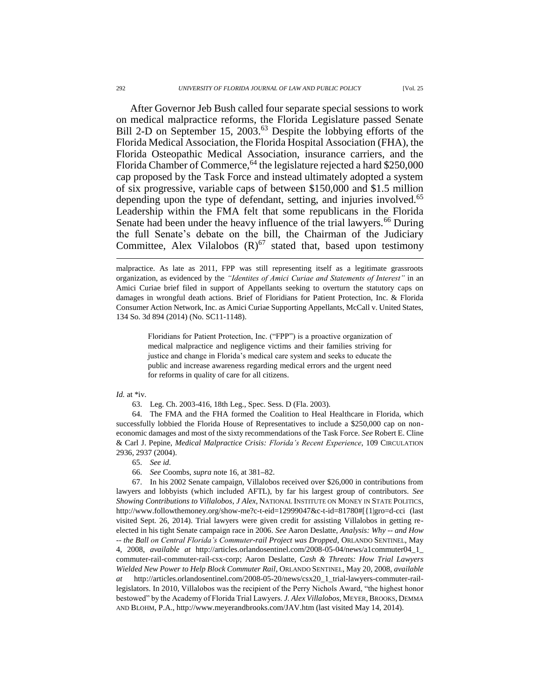After Governor Jeb Bush called four separate special sessions to work on medical malpractice reforms, the Florida Legislature passed Senate Bill 2-D on September 15, 2003.<sup>63</sup> Despite the lobbying efforts of the Florida Medical Association, the Florida Hospital Association (FHA), the Florida Osteopathic Medical Association, insurance carriers, and the Florida Chamber of Commerce,  $64$  the legislature rejected a hard \$250,000 cap proposed by the Task Force and instead ultimately adopted a system of six progressive, variable caps of between \$150,000 and \$1.5 million depending upon the type of defendant, setting, and injuries involved.<sup>65</sup> Leadership within the FMA felt that some republicans in the Florida Senate had been under the heavy influence of the trial lawyers.<sup>66</sup> During the full Senate's debate on the bill, the Chairman of the Judiciary Committee, Alex Vilalobos  $(R)^{67}$  stated that, based upon testimony

malpractice. As late as 2011, FPP was still representing itself as a legitimate grassroots organization, as evidenced by the *"Identites of Amici Curiae and Statements of Interest"* in an Amici Curiae brief filed in support of Appellants seeking to overturn the statutory caps on damages in wrongful death actions. Brief of Floridians for Patient Protection, Inc. & Florida Consumer Action Network, Inc. as Amici Curiae Supporting Appellants, McCall v. United States, 134 So. 3d 894 (2014) (No. SC11-1148).

> Floridians for Patient Protection, Inc. ("FPP") is a proactive organization of medical malpractice and negligence victims and their families striving for justice and change in Florida's medical care system and seeks to educate the public and increase awareness regarding medical errors and the urgent need for reforms in quality of care for all citizens.

#### *Id.* at \*iv.

63. Leg. Ch. 2003-416, 18th Leg., Spec. Sess. D (Fla. 2003).

64. The FMA and the FHA formed the Coalition to Heal Healthcare in Florida, which successfully lobbied the Florida House of Representatives to include a \$250,000 cap on noneconomic damages and most of the sixty recommendations of the Task Force. *See* Robert E. Cline & Carl J. Pepine, *Medical Malpractice Crisis: Florida's Recent Experience*, 109 CIRCULATION 2936, 2937 (2004).

65. *See id.*

66. *See* Coombs, *supra* note 16, at 381**–**82.

67. In his 2002 Senate campaign, Villalobos received over \$26,000 in contributions from lawyers and lobbyists (which included AFTL), by far his largest group of contributors. *See Showing Contributions to Villalobos*, *J Alex*, NATIONAL INSTITUTE ON MONEY IN STATE POLITICS, http://www.followthemoney.org/show-me?c-t-eid=12999047&c-t-id=81780#[{1|gro=d-cci (last visited Sept. 26, 2014). Trial lawyers were given credit for assisting Villalobos in getting reelected in his tight Senate campaign race in 2006. *See* Aaron Deslatte, *Analysis: Why -- and How -- the Ball on Central Florida's Commuter-rail Project was Dropped*, ORLANDO SENTINEL, May 4, 2008, *available at* http://articles.orlandosentinel.com/2008-05-04/news/a1commuter04\_1\_ commuter-rail-commuter-rail-csx-corp; Aaron Deslatte, *Cash & Threats: How Trial Lawyers Wielded New Power to Help Block Commuter Rail,* ORLANDO SENTINEL, May 20, 2008, *available at* http://articles.orlandosentinel.com/2008-05-20/news/csx20\_1\_trial-lawyers-commuter-raillegislators. In 2010, Villalobos was the recipient of the Perry Nichols Award, "the highest honor bestowed" by the Academy of Florida Trial Lawyers. *J. Alex Villalobos,* MEYER,BROOKS, DEMMA AND BLOHM, P.A., http://www.meyerandbrooks.com/JAV.htm (last visited May 14, 2014).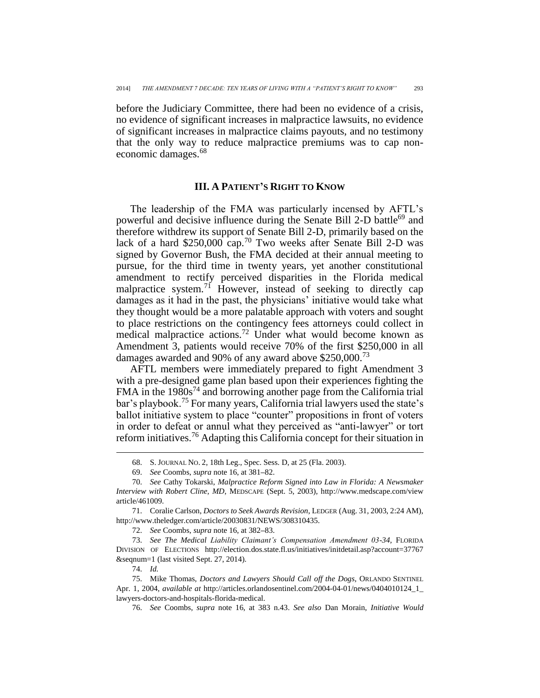before the Judiciary Committee, there had been no evidence of a crisis, no evidence of significant increases in malpractice lawsuits, no evidence of significant increases in malpractice claims payouts, and no testimony that the only way to reduce malpractice premiums was to cap noneconomic damages.<sup>68</sup>

### **III. A PATIENT'S RIGHT TO KNOW**

The leadership of the FMA was particularly incensed by AFTL's powerful and decisive influence during the Senate Bill 2-D battle<sup>69</sup> and therefore withdrew its support of Senate Bill 2-D, primarily based on the lack of a hard \$250,000 cap.<sup>70</sup> Two weeks after Senate Bill 2-D was signed by Governor Bush, the FMA decided at their annual meeting to pursue, for the third time in twenty years, yet another constitutional amendment to rectify perceived disparities in the Florida medical malpractice system.<sup>71</sup> However, instead of seeking to directly cap damages as it had in the past, the physicians' initiative would take what they thought would be a more palatable approach with voters and sought to place restrictions on the contingency fees attorneys could collect in medical malpractice actions.<sup>72</sup> Under what would become known as Amendment 3, patients would receive 70% of the first \$250,000 in all damages awarded and 90% of any award above \$250,000.<sup>73</sup>

AFTL members were immediately prepared to fight Amendment 3 with a pre-designed game plan based upon their experiences fighting the FMA in the  $1980s<sup>74</sup>$  and borrowing another page from the California trial bar's playbook.<sup>75</sup> For many years, California trial lawyers used the state's ballot initiative system to place "counter" propositions in front of voters in order to defeat or annul what they perceived as "anti-lawyer" or tort reform initiatives.<sup>76</sup> Adapting this California concept for their situation in

<sup>68.</sup> S. JOURNAL NO. 2, 18th Leg., Spec. Sess. D, at 25 (Fla. 2003).

<sup>69.</sup> *See* Coombs, *supra* note 16, at 381**–**82.

<sup>70.</sup> *See* Cathy Tokarski, *Malpractice Reform Signed into Law in Florida: A Newsmaker Interview with Robert Cline, MD*, MEDSCAPE (Sept. 5, 2003), http://www.medscape.com/view article/461009*.* 

<sup>71.</sup> Coralie Carlson, *Doctors to Seek Awards Revision*, LEDGER (Aug. 31, 2003, 2:24 AM), http://www.theledger.com/article/20030831/NEWS/308310435.

<sup>72.</sup> *See* Coombs, *supra* note 16, at 382**–**83.

<sup>73.</sup> *See The Medical Liability Claimant's Compensation Amendment 03-34,* FLORIDA DIVISION OF ELECTIONS http://election.dos.state.fl.us/initiatives/initdetail.asp?account=37767 &seqnum=1 (last visited Sept. 27, 2014).

<sup>74.</sup> *Id.*

<sup>75.</sup> Mike Thomas, *Doctors and Lawyers Should Call off the Dogs*, ORLANDO SENTINEL Apr. 1, 2004, *available at* http://articles.orlandosentinel.com/2004-04-01/news/0404010124\_1\_ lawyers-doctors-and-hospitals-florida-medical.

<sup>76.</sup> *See* Coombs, *supra* note 16, at 383 n.43. *See also* Dan Morain, *Initiative Would*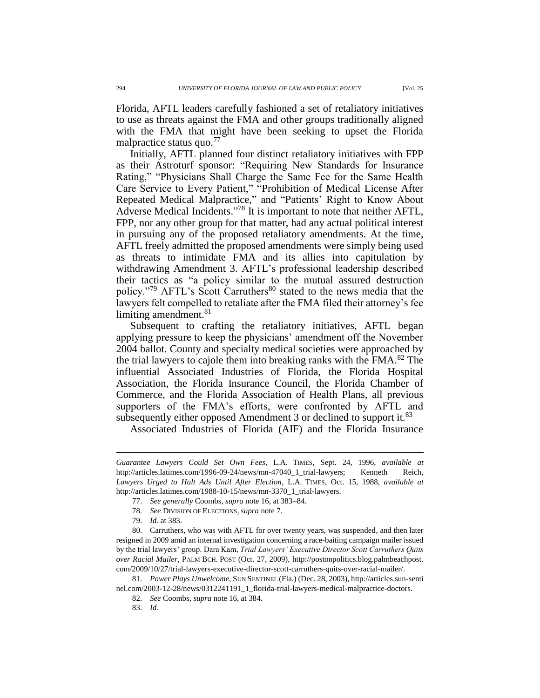Florida, AFTL leaders carefully fashioned a set of retaliatory initiatives to use as threats against the FMA and other groups traditionally aligned with the FMA that might have been seeking to upset the Florida malpractice status quo. $17$ 

Initially, AFTL planned four distinct retaliatory initiatives with FPP as their Astroturf sponsor: "Requiring New Standards for Insurance Rating," "Physicians Shall Charge the Same Fee for the Same Health Care Service to Every Patient," "Prohibition of Medical License After Repeated Medical Malpractice," and "Patients' Right to Know About Adverse Medical Incidents." <sup>78</sup> It is important to note that neither AFTL, FPP, nor any other group for that matter, had any actual political interest in pursuing any of the proposed retaliatory amendments. At the time, AFTL freely admitted the proposed amendments were simply being used as threats to intimidate FMA and its allies into capitulation by withdrawing Amendment 3. AFTL's professional leadership described their tactics as "a policy similar to the mutual assured destruction policy."<sup>79</sup> AFTL's Scott Carruthers<sup>80</sup> stated to the news media that the lawyers felt compelled to retaliate after the FMA filed their attorney's fee limiting amendment.<sup>81</sup>

Subsequent to crafting the retaliatory initiatives, AFTL began applying pressure to keep the physicians' amendment off the November 2004 ballot. County and specialty medical societies were approached by the trial lawyers to cajole them into breaking ranks with the FMA.<sup>82</sup> The influential Associated Industries of Florida, the Florida Hospital Association, the Florida Insurance Council, the Florida Chamber of Commerce, and the Florida Association of Health Plans, all previous supporters of the FMA's efforts, were confronted by AFTL and subsequently either opposed Amendment 3 or declined to support it.<sup>83</sup>

Associated Industries of Florida (AIF) and the Florida Insurance

*Guarantee Lawyers Could Set Own Fees*, L.A. TIMES, Sept. 24, 1996, *available at* http://articles.latimes.com/1996-09-24/news/mn-47040\_1\_trial-lawyers; Kenneth Reich, *Lawyers Urged to Halt Ads Until After Election*, L.A. TIMES, Oct. 15, 1988, *available at* http://articles.latimes.com/1988-10-15/news/mn-3370\_1\_trial-lawyers.

<sup>77.</sup> *See generally* Coombs, *supra* note 16, at 383**–**84.

<sup>78.</sup> *See* DIVISION OF ELECTIONS, *supra* note 7.

<sup>79.</sup> *Id.* at 383.

<sup>80.</sup> Carruthers, who was with AFTL for over twenty years, was suspended, and then later resigned in 2009 amid an internal investigation concerning a race-baiting campaign mailer issued by the trial lawyers' group. Dara Kam, *Trial Lawyers' Executive Director Scott Carruthers Quits over Racial Mailer*, PALM BCH. POST (Oct. 27, 2009), http://postonpolitics.blog.palmbeachpost. com/2009/10/27/trial-lawyers-executive-director-scott-carruthers-quits-over-racial-mailer/.

<sup>81.</sup> *Power Plays Unwelcome*, SUN SENTINEL (Fla.) (Dec. 28, 2003), http://articles.sun-senti nel.com/2003-12-28/news/0312241191\_1\_florida-trial-lawyers-medical-malpractice-doctors.

<sup>82.</sup> *See* Coombs, *supra* note 16, at 384.

<sup>83.</sup> *Id.*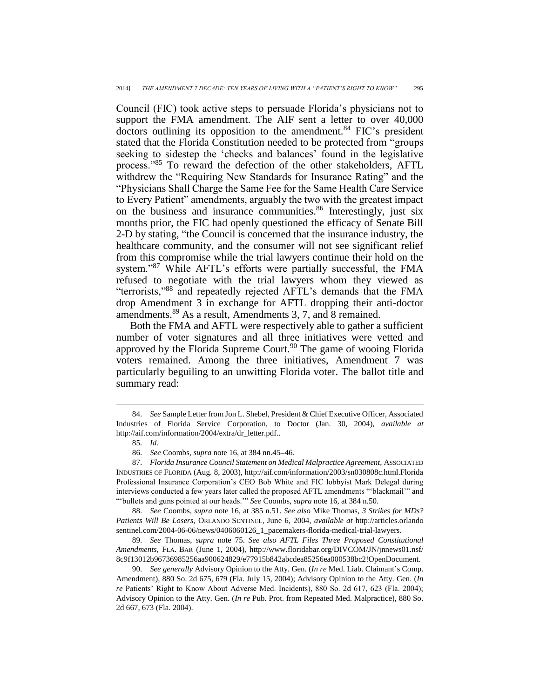Council (FIC) took active steps to persuade Florida's physicians not to support the FMA amendment. The AIF sent a letter to over 40,000 doctors outlining its opposition to the amendment.<sup>84</sup> FIC's president stated that the Florida Constitution needed to be protected from "groups seeking to sidestep the 'checks and balances' found in the legislative process."<sup>85</sup> To reward the defection of the other stakeholders, AFTL withdrew the "Requiring New Standards for Insurance Rating" and the "Physicians Shall Charge the Same Fee for the Same Health Care Service to Every Patient" amendments, arguably the two with the greatest impact on the business and insurance communities.<sup>86</sup> Interestingly, just six months prior, the FIC had openly questioned the efficacy of Senate Bill 2-D by stating, "the Council is concerned that the insurance industry, the healthcare community, and the consumer will not see significant relief from this compromise while the trial lawyers continue their hold on the system."<sup>87</sup> While AFTL's efforts were partially successful, the FMA refused to negotiate with the trial lawyers whom they viewed as "terrorists," <sup>88</sup> and repeatedly rejected AFTL's demands that the FMA drop Amendment 3 in exchange for AFTL dropping their anti-doctor amendments.<sup>89</sup> As a result, Amendments 3, 7, and 8 remained.

Both the FMA and AFTL were respectively able to gather a sufficient number of voter signatures and all three initiatives were vetted and approved by the Florida Supreme Court.<sup>90</sup> The game of wooing Florida voters remained. Among the three initiatives, Amendment 7 was particularly beguiling to an unwitting Florida voter. The ballot title and summary read:

 $\overline{a}$ 

88. *See* Coombs, *supra* note 16, at 385 n.51. *See also* Mike Thomas, *3 Strikes for MDs? Patients Will Be Losers,* ORLANDO SENTINEL, June 6, 2004, *available at* http://articles.orlando sentinel.com/2004-06-06/news/0406060126\_1\_pacemakers-florida-medical-trial-lawyers.

89. *See* Thomas, *supra* note 75. *See also AFTL Files Three Proposed Constitutional Amendments*, FLA. BAR (June 1, 2004), http://www.floridabar.org/DIVCOM/JN/jnnews01.nsf/ 8c9f13012b96736985256aa900624829/e77915b842abcdea85256ea000538bc2!OpenDocument.

<sup>84.</sup> *See* Sample Letter from Jon L. Shebel, President & Chief Executive Officer, Associated Industries of Florida Service Corporation, to Doctor (Jan. 30, 2004), *available at*  http://aif.com/information/2004/extra/dr\_letter.pdf..

<sup>85.</sup> *Id.*

<sup>86.</sup> *See* Coombs, *supra* note 16, at 384 nn.45**–**46.

<sup>87.</sup> *Florida Insurance Council Statement on Medical Malpractice Agreement,* ASSOCIATED INDUSTRIES OF FLORIDA (Aug. 8, 2003), http://aif.com/information/2003/sn030808c.html.Florida Professional Insurance Corporation's CEO Bob White and FIC lobbyist Mark Delegal during interviews conducted a few years later called the proposed AFTL amendments "'blackmail'" and "'bullets and guns pointed at our heads.'" *See* Coombs, *supra* note 16, at 384 n.50.

<sup>90.</sup> *See generally* Advisory Opinion to the Atty. Gen. (*In re* Med. Liab. Claimant's Comp. Amendment), 880 So. 2d 675, 679 (Fla. July 15, 2004); Advisory Opinion to the Atty. Gen. (*In re* Patients' Right to Know About Adverse Med. Incidents), 880 So. 2d 617, 623 (Fla. 2004); Advisory Opinion to the Atty. Gen. (*In re* Pub. Prot. from Repeated Med. Malpractice), 880 So. 2d 667, 673 (Fla. 2004).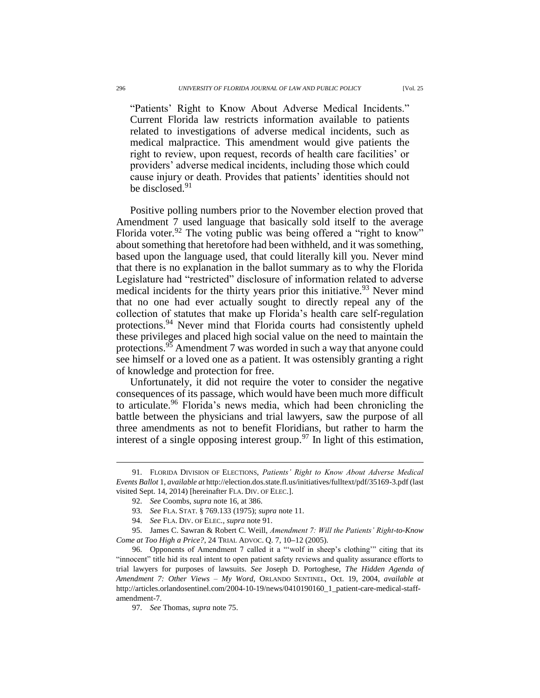"Patients' Right to Know About Adverse Medical Incidents." Current Florida law restricts information available to patients related to investigations of adverse medical incidents, such as medical malpractice. This amendment would give patients the right to review, upon request, records of health care facilities' or providers' adverse medical incidents, including those which could cause injury or death. Provides that patients' identities should not be disclosed.<sup>91</sup>

Positive polling numbers prior to the November election proved that Amendment 7 used language that basically sold itself to the average Florida voter.<sup>92</sup> The voting public was being offered a "right to know" about something that heretofore had been withheld, and it was something, based upon the language used, that could literally kill you. Never mind that there is no explanation in the ballot summary as to why the Florida Legislature had "restricted" disclosure of information related to adverse medical incidents for the thirty years prior this initiative.<sup>93</sup> Never mind that no one had ever actually sought to directly repeal any of the collection of statutes that make up Florida's health care self-regulation protections.<sup>94</sup> Never mind that Florida courts had consistently upheld these privileges and placed high social value on the need to maintain the protections.<sup>95</sup> Amendment 7 was worded in such a way that anyone could see himself or a loved one as a patient. It was ostensibly granting a right of knowledge and protection for free.

Unfortunately, it did not require the voter to consider the negative consequences of its passage, which would have been much more difficult to articulate.<sup>96</sup> Florida's news media, which had been chronicling the battle between the physicians and trial lawyers, saw the purpose of all three amendments as not to benefit Floridians, but rather to harm the interest of a single opposing interest group.<sup>97</sup> In light of this estimation,

<sup>91.</sup> FLORIDA DIVISION OF ELECTIONS, *Patients' Right to Know About Adverse Medical Events Ballot* 1, *available at* http://election.dos.state.fl.us/initiatives/fulltext/pdf/35169-3.pdf (last visited Sept. 14, 2014) [hereinafter FLA. DIV. OF ELEC.].

<sup>92.</sup> *See* Coombs, *supra* note 16, at 386.

<sup>93.</sup> *See* FLA. STAT. § 769.133 (1975); *supra* note 11.

<sup>94.</sup> *See* FLA. DIV. OF ELEC., *supra* note 91.

<sup>95.</sup> James C. Sawran & Robert C. Weill, *Amendment 7: Will the Patients' Right-to-Know Come at Too High a Price?*, 24 TRIAL ADVOC. Q. 7, 10**–**12 (2005).

<sup>96.</sup> Opponents of Amendment 7 called it a "'wolf in sheep's clothing'" citing that its "innocent" title hid its real intent to open patient safety reviews and quality assurance efforts to trial lawyers for purposes of lawsuits. *See* Joseph D. Portoghese, *The Hidden Agenda of Amendment 7: Other Views – My Word*, ORLANDO SENTINEL, Oct. 19, 2004, *available at*  http://articles.orlandosentinel.com/2004-10-19/news/0410190160\_1\_patient-care-medical-staffamendment-7.

<sup>97.</sup> *See* Thomas, *supra* note 75.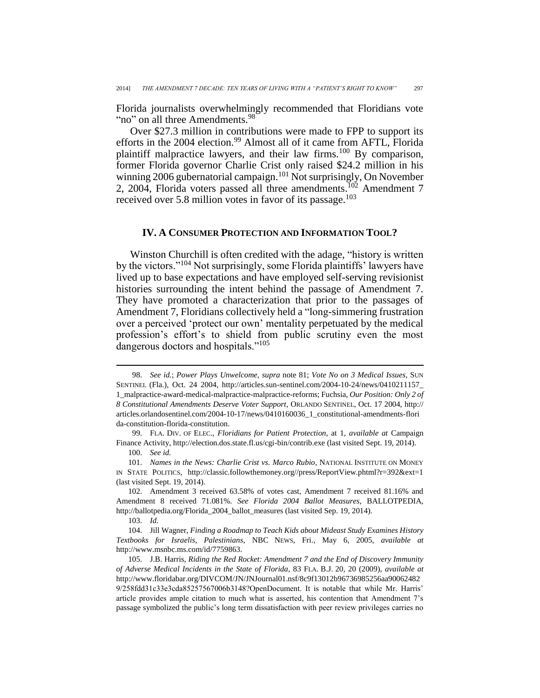Florida journalists overwhelmingly recommended that Floridians vote "no" on all three Amendments.<sup>98</sup>

Over \$27.3 million in contributions were made to FPP to support its efforts in the 2004 election.<sup>99</sup> Almost all of it came from AFTL, Florida plaintiff malpractice lawyers, and their law firms.<sup>100</sup> By comparison, former Florida governor Charlie Crist only raised \$24.2 million in his winning 2006 gubernatorial campaign.<sup>101</sup> Not surprisingly, On November 2, 2004, Florida voters passed all three amendments.<sup>102</sup> Amendment 7 received over 5.8 million votes in favor of its passage.<sup>103</sup>

#### **IV. A CONSUMER PROTECTION AND INFORMATION TOOL?**

Winston Churchill is often credited with the adage, "history is written by the victors."<sup>104</sup> Not surprisingly, some Florida plaintiffs' lawyers have lived up to base expectations and have employed self-serving revisionist histories surrounding the intent behind the passage of Amendment 7. They have promoted a characterization that prior to the passages of Amendment 7, Floridians collectively held a "long-simmering frustration over a perceived 'protect our own' mentality perpetuated by the medical profession's effort's to shield from public scrutiny even the most dangerous doctors and hospitals."<sup>105</sup>

99. FLA. DIV. OF ELEC., *Floridians for Patient Protection*, at 1, *available at* Campaign Finance Activity, http://election.dos.state.fl.us/cgi-bin/contrib.exe (last visited Sept. 19, 2014).

<sup>98.</sup> *See id.*; *Power Plays Unwelcome*, *supra* note 81; *Vote No on 3 Medical Issues*, SUN SENTINEL (Fla.), Oct. 24 2004, http://articles.sun-sentinel.com/2004-10-24/news/0410211157\_ 1\_malpractice-award-medical-malpractice-malpractice-reforms; Fuchsia, *Our Position: Only 2 of 8 Constitutional Amendments Deserve Voter Support*, ORLANDO SENTINEL, Oct. 17 2004, http:// articles.orlandosentinel.com/2004-10-17/news/0410160036\_1\_constitutional-amendments-flori da-constitution-florida-constitution.

<sup>100.</sup> *See id.*

<sup>101.</sup> *Names in the News: Charlie Crist vs. Marco Rubio*, NATIONAL INSTITUTE ON MONEY IN STATE POLITICS, http://classic.followthemoney.org//press/ReportView.phtml?r=392&ext=1 (last visited Sept. 19, 2014).

<sup>102.</sup> Amendment 3 received 63.58% of votes cast, Amendment 7 received 81.16% and Amendment 8 received 71.081%. *See Florida 2004 Ballot Measures*, BALLOTPEDIA, http://ballotpedia.org/Florida\_2004\_ballot\_measures (last visited Sep. 19, 2014).

<sup>103.</sup> *Id.*

<sup>104.</sup> Jill Wagner, *Finding a Roadmap to Teach Kids about Mideast Study Examines History Textbooks for Israelis, Palestinians*, NBC NEWS, Fri., May 6, 2005, *available at* http://www.msnbc.ms.com/id/7759863.

<sup>105.</sup> J.B. Harris, *Riding the Red Rocket: Amendment 7 and the End of Discovery Immunity of Adverse Medical Incidents in the State of Florida*, 83 FLA. B.J. 20, 20 (2009), *available at*  http://www.floridabar.org/DIVCOM/JN/JNJournal01.nsf/8c9f13012b96736985256aa90062482 9/258fdd31c33e3cda85257567006b3148?OpenDocument. It is notable that while Mr. Harris' article provides ample citation to much what is asserted, his contention that Amendment 7's passage symbolized the public's long term dissatisfaction with peer review privileges carries no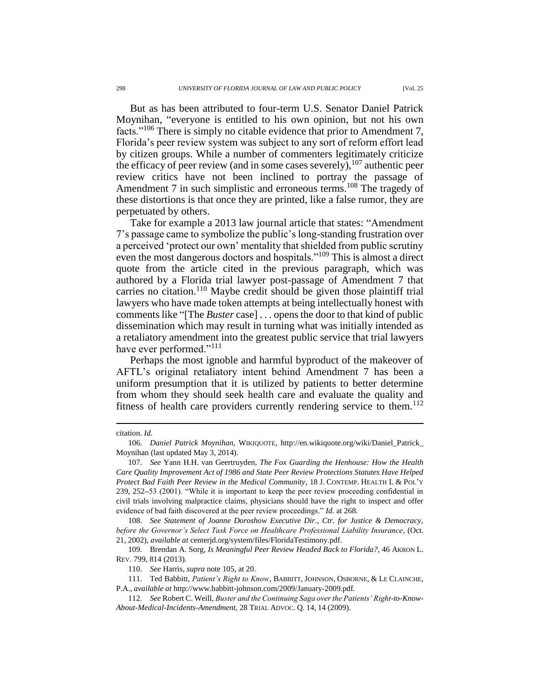But as has been attributed to four-term U.S. Senator Daniel Patrick Moynihan, "everyone is entitled to his own opinion, but not his own facts."<sup>106</sup> There is simply no citable evidence that prior to Amendment 7, Florida's peer review system was subject to any sort of reform effort lead by citizen groups. While a number of commenters legitimately criticize the efficacy of peer review (and in some cases severely),  $107$  authentic peer review critics have not been inclined to portray the passage of Amendment 7 in such simplistic and erroneous terms.<sup>108</sup> The tragedy of these distortions is that once they are printed, like a false rumor, they are perpetuated by others.

Take for example a 2013 law journal article that states: "Amendment 7's passage came to symbolize the public's long-standing frustration over a perceived 'protect our own' mentality that shielded from public scrutiny even the most dangerous doctors and hospitals."<sup>109</sup> This is almost a direct quote from the article cited in the previous paragraph, which was authored by a Florida trial lawyer post-passage of Amendment 7 that carries no citation.<sup>110</sup> Maybe credit should be given those plaintiff trial lawyers who have made token attempts at being intellectually honest with comments like "[The *Buster* case] . . . opens the door to that kind of public dissemination which may result in turning what was initially intended as a retaliatory amendment into the greatest public service that trial lawyers have ever performed."<sup>111</sup>

Perhaps the most ignoble and harmful byproduct of the makeover of AFTL's original retaliatory intent behind Amendment 7 has been a uniform presumption that it is utilized by patients to better determine from whom they should seek health care and evaluate the quality and fitness of health care providers currently rendering service to them.<sup>112</sup>

citation. *Id*.

<sup>106.</sup> *Daniel Patrick Moynihan*, WIKIQUOTE, http://en.wikiquote.org/wiki/Daniel\_Patrick\_ Moynihan (last updated May 3, 2014).

<sup>107.</sup> *See* Yann H.H. van Geertruyden, *The Fox Guarding the Henhouse: How the Health Care Quality Improvement Act of 1986 and State Peer Review Protections Statutes Have Helped Protect Bad Faith Peer Review in the Medical Community*, 18 J. CONTEMP. HEALTH L & POL'Y 239, 252**–**53 (2001). "While it is important to keep the peer review proceeding confidential in civil trials involving malpractice claims, physicians should have the right to inspect and offer evidence of bad faith discovered at the peer review proceedings." *Id.* at 268.

<sup>108.</sup> *See Statement of Joanne Doroshow Executive Dir., Ctr. for Justice & Democracy, before the Governor's Select Task Force on Healthcare Professional Liability Insurance*, (Oct. 21, 2002), *available at* centerjd.org/system/files/FloridaTestimony.pdf.

<sup>109.</sup> Brendan A. Sorg*, Is Meaningful Peer Review Headed Back to Florida?*, 46 AKRON L. REV. 799, 814 (2013).

<sup>110.</sup> *See* Harris, *supra* note 105, at 20.

<sup>111.</sup> Ted Babbitt, *Patient's Right to Know*, BABBITT, JOHNSON, OSBORNE, & LE CLAINCHE, P.A., *available at* http://www.babbitt-johnson.com/2009/January-2009.pdf.

<sup>112.</sup> *See* Robert C. Weill, *Buster and the Continuing Saga over the Patients' Right-to-Know-About-Medical-Incidents-Amendment*, 28 TRIAL ADVOC. Q. 14, 14 (2009).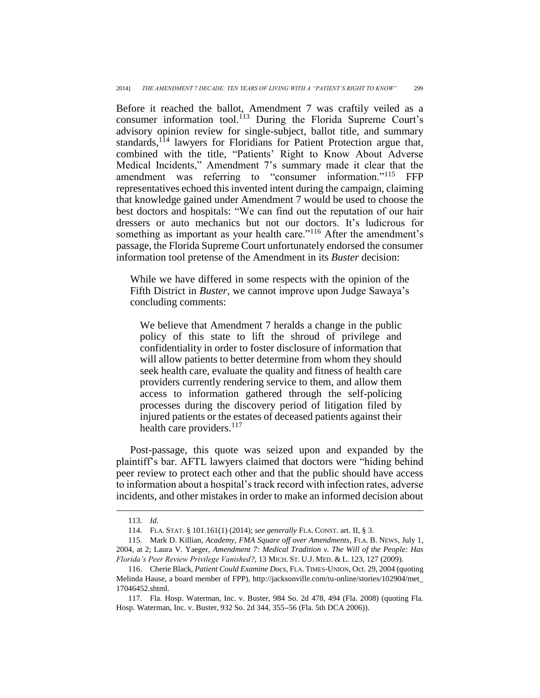Before it reached the ballot, Amendment 7 was craftily veiled as a consumer information tool.<sup>113</sup> During the Florida Supreme Court's advisory opinion review for single-subject, ballot title, and summary standards,<sup>114</sup> lawyers for Floridians for Patient Protection argue that, combined with the title, "Patients' Right to Know About Adverse Medical Incidents," Amendment 7's summary made it clear that the amendment was referring to "consumer information."<sup>115</sup> FFP representatives echoed this invented intent during the campaign, claiming that knowledge gained under Amendment 7 would be used to choose the best doctors and hospitals: "We can find out the reputation of our hair dressers or auto mechanics but not our doctors. It's ludicrous for something as important as your health care."<sup>116</sup> After the amendment's passage, the Florida Supreme Court unfortunately endorsed the consumer information tool pretense of the Amendment in its *Buster* decision:

While we have differed in some respects with the opinion of the Fifth District in *Buster*, we cannot improve upon Judge Sawaya's concluding comments:

We believe that Amendment 7 heralds a change in the public policy of this state to lift the shroud of privilege and confidentiality in order to foster disclosure of information that will allow patients to better determine from whom they should seek health care, evaluate the quality and fitness of health care providers currently rendering service to them, and allow them access to information gathered through the self-policing processes during the discovery period of litigation filed by injured patients or the estates of deceased patients against their health care providers.<sup>117</sup>

Post-passage, this quote was seized upon and expanded by the plaintiff's bar. AFTL lawyers claimed that doctors were "hiding behind peer review to protect each other and that the public should have access to information about a hospital's track record with infection rates, adverse incidents, and other mistakes in order to make an informed decision about

<sup>113.</sup> *Id.*

<sup>114.</sup> FLA. STAT. § 101.161(1) (2014); *see generally* FLA. CONST. art. II, § 3.

<sup>115.</sup> Mark D. Killian, *Academy, FMA Square off over Amendments*, FLA. B. NEWS, July 1, 2004, at 2; Laura V. Yaeger, *Amendment 7: Medical Tradition v. The Will of the People: Has Florida's Peer Review Privilege Vanished?,* 13 MICH. ST. U.J. MED. & L. 123, 127 (2009).

<sup>116.</sup> Cherie Black, *Patient Could Examine Docs*, FLA. TIMES-UNION, Oct. 29, 2004 (quoting Melinda Hause, a board member of FPP), http://jacksonville.com/tu-online/stories/102904/met\_ 17046452.shtml.

<sup>117.</sup> Fla. Hosp. Waterman, Inc. v. Buster, 984 So. 2d 478, 494 (Fla. 2008) (quoting Fla. Hosp. Waterman, Inc. v. Buster, 932 So. 2d 344, 355**–**56 (Fla. 5th DCA 2006)).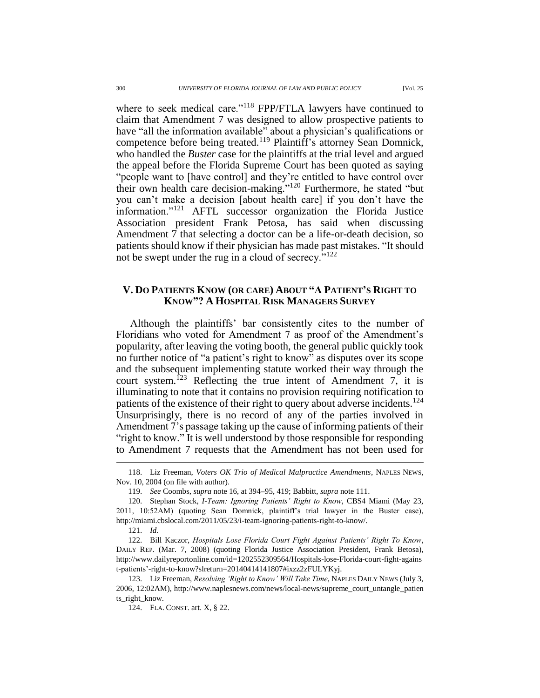where to seek medical care."<sup>118</sup> FPP/FTLA lawyers have continued to claim that Amendment 7 was designed to allow prospective patients to have "all the information available" about a physician's qualifications or competence before being treated.<sup>119</sup> Plaintiff's attorney Sean Domnick, who handled the *Buster* case for the plaintiffs at the trial level and argued the appeal before the Florida Supreme Court has been quoted as saying "people want to [have control] and they're entitled to have control over their own health care decision-making." <sup>120</sup> Furthermore, he stated "but you can't make a decision [about health care] if you don't have the information."<sup>121</sup> AFTL successor organization the Florida Justice Association president Frank Petosa, has said when discussing Amendment 7 that selecting a doctor can be a life-or-death decision, so patients should know if their physician has made past mistakes. "It should not be swept under the rug in a cloud of secrecy.<sup>7122</sup>

### **V. DO PATIENTS KNOW (OR CARE) ABOUT "A PATIENT'S RIGHT TO KNOW"? A HOSPITAL RISK MANAGERS SURVEY**

Although the plaintiffs' bar consistently cites to the number of Floridians who voted for Amendment 7 as proof of the Amendment's popularity, after leaving the voting booth, the general public quickly took no further notice of "a patient's right to know" as disputes over its scope and the subsequent implementing statute worked their way through the court system.<sup>123</sup> Reflecting the true intent of Amendment 7, it is illuminating to note that it contains no provision requiring notification to patients of the existence of their right to query about adverse incidents.<sup>124</sup> Unsurprisingly, there is no record of any of the parties involved in Amendment 7's passage taking up the cause of informing patients of their "right to know." It is well understood by those responsible for responding to Amendment 7 requests that the Amendment has not been used for

<sup>118.</sup> Liz Freeman, *Voters OK Trio of Medical Malpractice Amendments*, NAPLES NEWS, Nov. 10, 2004 (on file with author).

<sup>119.</sup> *See* Coombs, *supra* note 16, at 394**–**95, 419; Babbitt, *supra* note 111.

<sup>120.</sup> Stephan Stock*, I-Team: Ignoring Patients' Right to Know*, CBS4 Miami (May 23, 2011, 10:52AM) (quoting Sean Domnick, plaintiff's trial lawyer in the Buster case), http://miami.cbslocal.com/2011/05/23/i-team-ignoring-patients-right-to-know/.

<sup>121.</sup> *Id.*

<sup>122.</sup> Bill Kaczor, *Hospitals Lose Florida Court Fight Against Patients' Right To Know*, DAILY REP. (Mar. 7, 2008) (quoting Florida Justice Association President, Frank Betosa), http://www.dailyreportonline.com/id=1202552309564/Hospitals-lose-Florida-court-fight-agains t-patients'-right-to-know?slreturn=20140414141807#ixzz2zFULYKyj.

<sup>123.</sup> Liz Freeman, *Resolving 'Right to Know' Will Take Time*, NAPLES DAILY NEWS (July 3, 2006, 12:02AM), http://www.naplesnews.com/news/local-news/supreme\_court\_untangle\_patien ts\_right\_know.

<sup>124.</sup> FLA. CONST. art. X, § 22.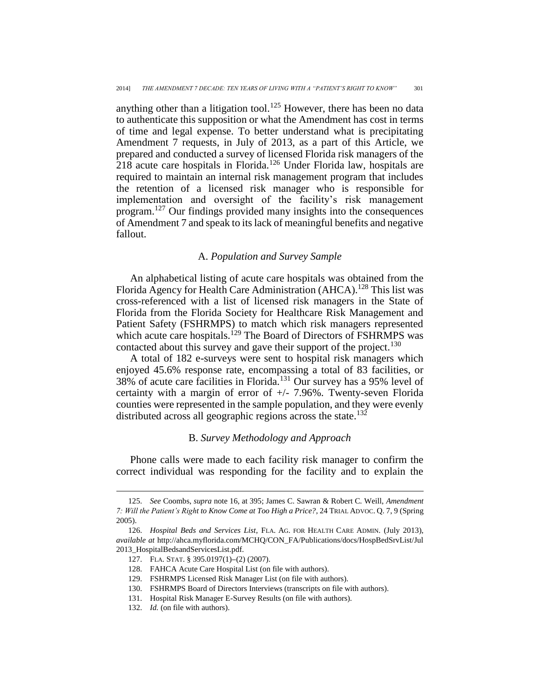anything other than a litigation tool.<sup>125</sup> However, there has been no data to authenticate this supposition or what the Amendment has cost in terms of time and legal expense. To better understand what is precipitating Amendment 7 requests, in July of 2013, as a part of this Article, we prepared and conducted a survey of licensed Florida risk managers of the 218 acute care hospitals in Florida.<sup>126</sup> Under Florida law, hospitals are required to maintain an internal risk management program that includes the retention of a licensed risk manager who is responsible for implementation and oversight of the facility's risk management program. <sup>127</sup> Our findings provided many insights into the consequences of Amendment 7 and speak to its lack of meaningful benefits and negative fallout.

### A. *Population and Survey Sample*

An alphabetical listing of acute care hospitals was obtained from the Florida Agency for Health Care Administration (AHCA).<sup>128</sup> This list was cross-referenced with a list of licensed risk managers in the State of Florida from the Florida Society for Healthcare Risk Management and Patient Safety (FSHRMPS) to match which risk managers represented which acute care hospitals.<sup>129</sup> The Board of Directors of FSHRMPS was contacted about this survey and gave their support of the project.<sup>130</sup>

A total of 182 e-surveys were sent to hospital risk managers which enjoyed 45.6% response rate, encompassing a total of 83 facilities, or 38% of acute care facilities in Florida.<sup>131</sup> Our survey has a 95% level of certainty with a margin of error of +/- 7.96%. Twenty-seven Florida counties were represented in the sample population, and they were evenly distributed across all geographic regions across the state.<sup>132</sup>

### B. *Survey Methodology and Approach*

Phone calls were made to each facility risk manager to confirm the correct individual was responding for the facility and to explain the

<sup>125.</sup> *See* Coombs, *supra* note 16, at 395; James C. Sawran & Robert C. Weill, *Amendment 7: Will the Patient's Right to Know Come at Too High a Price?*, 24 TRIAL ADVOC. Q. 7, 9 (Spring 2005).

<sup>126.</sup> *Hospital Beds and Services List*, FLA. AG. FOR HEALTH CARE ADMIN. (July 2013), *available at* http://ahca.myflorida.com/MCHQ/CON\_FA/Publications/docs/HospBedSrvList/Jul 2013\_HospitalBedsandServicesList.pdf.

<sup>127.</sup> FLA. STAT. § 395.0197(1)**–**(2) (2007).

<sup>128.</sup> FAHCA Acute Care Hospital List (on file with authors).

<sup>129.</sup> FSHRMPS Licensed Risk Manager List (on file with authors).

<sup>130.</sup> FSHRMPS Board of Directors Interviews (transcripts on file with authors).

<sup>131.</sup> Hospital Risk Manager E-Survey Results (on file with authors).

<sup>132.</sup> *Id.* (on file with authors).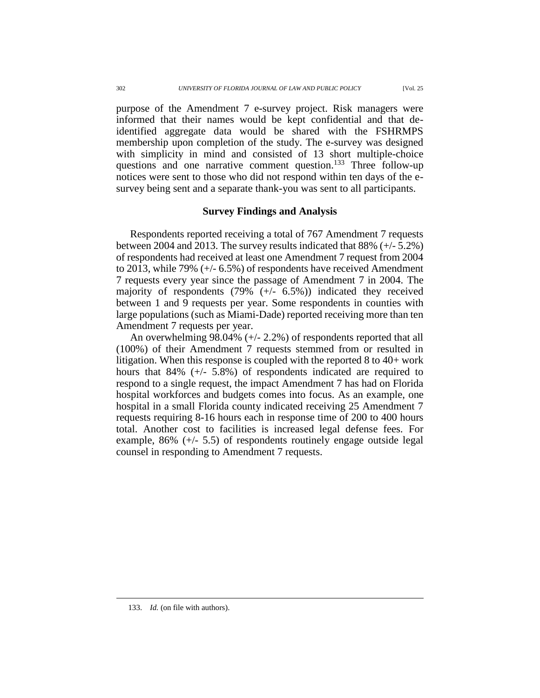purpose of the Amendment 7 e-survey project. Risk managers were informed that their names would be kept confidential and that deidentified aggregate data would be shared with the FSHRMPS membership upon completion of the study. The e-survey was designed with simplicity in mind and consisted of 13 short multiple-choice questions and one narrative comment question. <sup>133</sup> Three follow-up notices were sent to those who did not respond within ten days of the esurvey being sent and a separate thank-you was sent to all participants.

### **Survey Findings and Analysis**

Respondents reported receiving a total of 767 Amendment 7 requests between 2004 and 2013. The survey results indicated that 88% (+/- 5.2%) of respondents had received at least one Amendment 7 request from 2004 to 2013, while 79% (+/- 6.5%) of respondents have received Amendment 7 requests every year since the passage of Amendment 7 in 2004. The majority of respondents (79% (+/- 6.5%)) indicated they received between 1 and 9 requests per year. Some respondents in counties with large populations (such as Miami-Dade) reported receiving more than ten Amendment 7 requests per year.

An overwhelming 98.04% (+/- 2.2%) of respondents reported that all (100%) of their Amendment 7 requests stemmed from or resulted in litigation. When this response is coupled with the reported 8 to 40+ work hours that 84% (+/- 5.8%) of respondents indicated are required to respond to a single request, the impact Amendment 7 has had on Florida hospital workforces and budgets comes into focus. As an example, one hospital in a small Florida county indicated receiving 25 Amendment 7 requests requiring 8-16 hours each in response time of 200 to 400 hours total. Another cost to facilities is increased legal defense fees. For example, 86% (+/- 5.5) of respondents routinely engage outside legal counsel in responding to Amendment 7 requests.

<sup>133.</sup> *Id.* (on file with authors).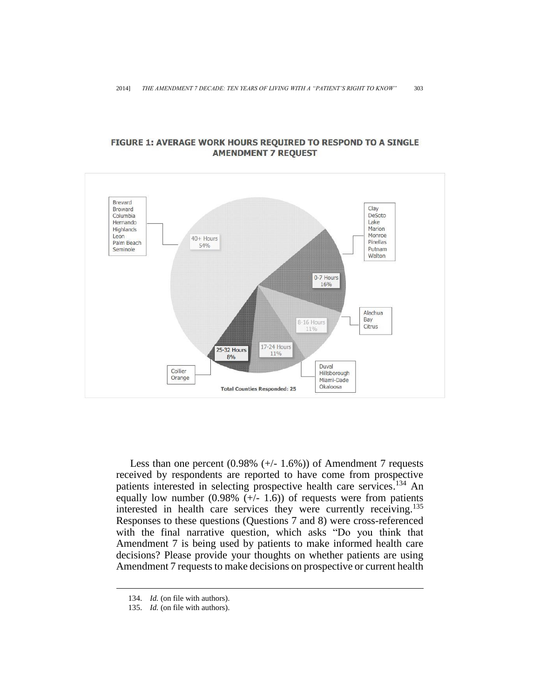

### FIGURE 1: AVERAGE WORK HOURS REQUIRED TO RESPOND TO A SINGLE **AMENDMENT 7 REQUEST**

Less than one percent  $(0.98\% (+/- 1.6\%))$  of Amendment 7 requests received by respondents are reported to have come from prospective patients interested in selecting prospective health care services. <sup>134</sup> An equally low number  $(0.98\% (+/- 1.6))$  of requests were from patients interested in health care services they were currently receiving. 135 Responses to these questions (Questions 7 and 8) were cross-referenced with the final narrative question, which asks "Do you think that Amendment 7 is being used by patients to make informed health care decisions? Please provide your thoughts on whether patients are using Amendment 7 requests to make decisions on prospective or current health

<sup>134.</sup> *Id.* (on file with authors).

<sup>135.</sup> *Id.* (on file with authors).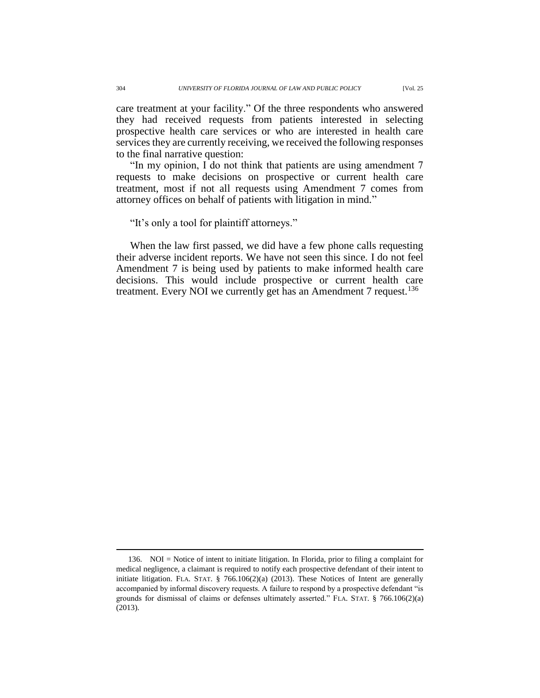care treatment at your facility." Of the three respondents who answered they had received requests from patients interested in selecting prospective health care services or who are interested in health care services they are currently receiving, we received the following responses to the final narrative question:

"In my opinion, I do not think that patients are using amendment 7 requests to make decisions on prospective or current health care treatment, most if not all requests using Amendment 7 comes from attorney offices on behalf of patients with litigation in mind."

"It's only a tool for plaintiff attorneys."

When the law first passed, we did have a few phone calls requesting their adverse incident reports. We have not seen this since. I do not feel Amendment 7 is being used by patients to make informed health care decisions. This would include prospective or current health care treatment. Every NOI we currently get has an Amendment 7 request.<sup>136</sup>

<sup>136.</sup> NOI = Notice of intent to initiate litigation. In Florida, prior to filing a complaint for medical negligence, a claimant is required to notify each prospective defendant of their intent to initiate litigation. FLA. STAT.  $\S$  766.106(2)(a) (2013). These Notices of Intent are generally accompanied by informal discovery requests. A failure to respond by a prospective defendant "is grounds for dismissal of claims or defenses ultimately asserted." FLA. STAT.  $\S$  766.106(2)(a) (2013).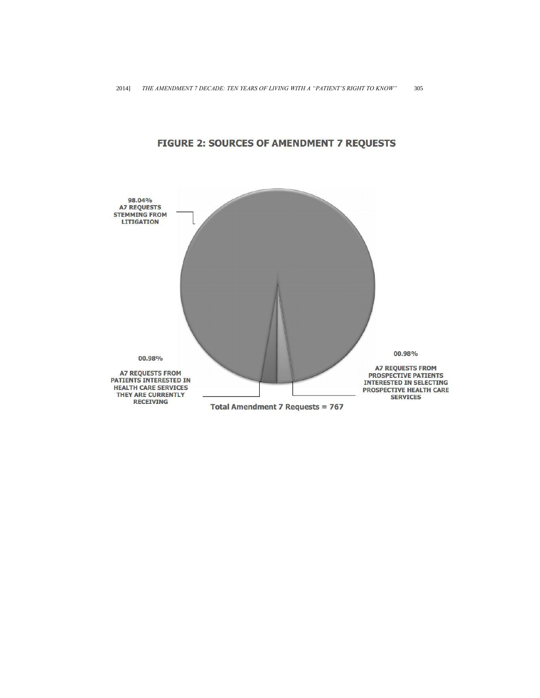

## **FIGURE 2: SOURCES OF AMENDMENT 7 REQUESTS**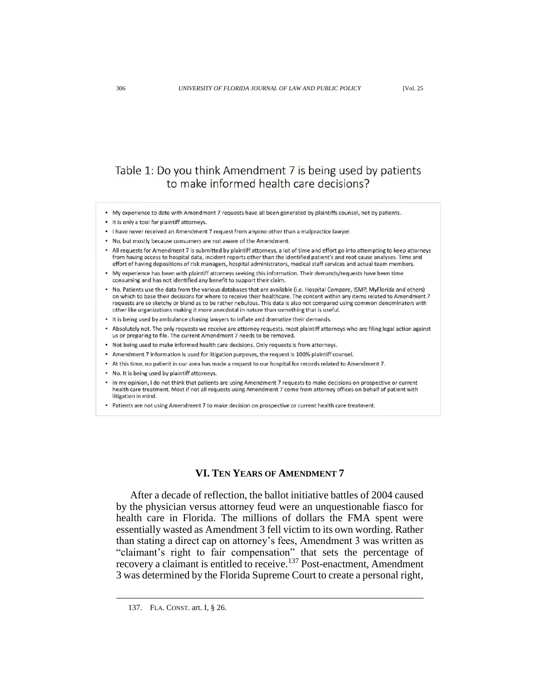# Table 1: Do you think Amendment 7 is being used by patients to make informed health care decisions?

- My experience to date with Amendment 7 requests have all been generated by plaintiffs counsel, not by patients.
- . It is only a tool for plaintiff attorneys.
- . I have never received an Amendment 7 request from anyone other than a malpractice lawyer.
- . No, but mostly because consumers are not aware of the Amendment.
- All requests for Amendment 7 is submitted by plaintiff attorneys, a lot of time and effort go into attempting to keep attorneys from having access to hospital data, incident reports other than the identified patient's and root cause analyses. Time and effort of having depositions of risk managers, hospital administrators, medical staff services and actual team members.
- \* My experience has been with plaintiff attorneys seeking this information. Their demands/requests have been time consuming and has not identified any benefit to support their claim.
- . No. Patients use the data from the various databases that are available (i.e. Hospital Compare, ISMP, MyFlorida and others) on which to base their decisions for where to receive their healthcare. The content within any items related to Amendment 7 requests are so sketchy or bland as to be rather nebulous. This data is also not compared using common denominators with other like organizations making it more anecdotal in nature than something that is useful.
- It is being used by ambulance chasing lawyers to inflate and dramatize their demands.
- . Absolutely not. The only requests we receive are attorney requests, most plaintiff attorneys who are filing legal action against us or preparing to file. The current Amendment 7 needs to be removed.
- Not being used to make informed health care decisions. Only requests is from attorneys.
- Amendment 7 information is used for litigation purposes, the request is 100% plaintiff counsel.
- At this time, no patient in our area has made a request to our hospital for records related to Amendment 7.
- No. It is being used by plaintiff attorneys.
- In my opinion, I do not think that patients are using Amendment 7 requests to make decisions on prospective or current health care treatment. Most if not all requests using Amendment 7 come from attorney offices on behalf of patient with litigation in mind.
- . Patients are not using Amendment 7 to make decision on prospective or current health care treatment.

### **VI. TEN YEARS OF AMENDMENT 7**

After a decade of reflection, the ballot initiative battles of 2004 caused by the physician versus attorney feud were an unquestionable fiasco for health care in Florida. The millions of dollars the FMA spent were essentially wasted as Amendment 3 fell victim to its own wording. Rather than stating a direct cap on attorney's fees, Amendment 3 was written as "claimant's right to fair compensation" that sets the percentage of recovery a claimant is entitled to receive.<sup>137</sup> Post-enactment, Amendment 3 was determined by the Florida Supreme Court to create a personal right,

<sup>137.</sup> FLA. CONST. art. I, § 26.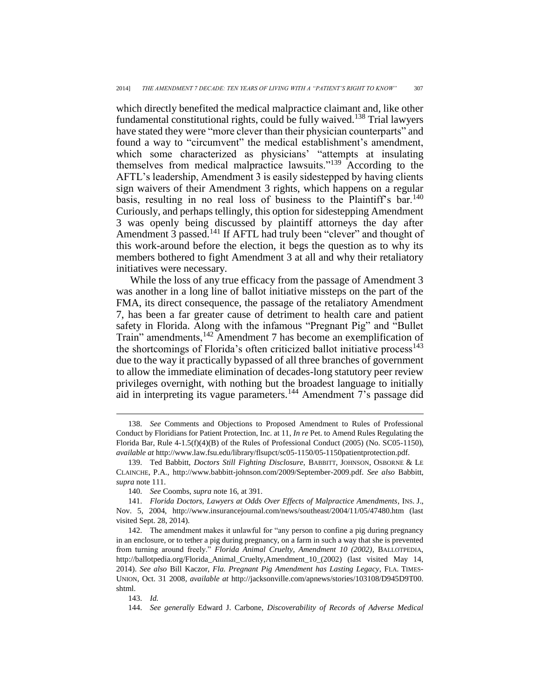which directly benefited the medical malpractice claimant and, like other fundamental constitutional rights, could be fully waived.<sup>138</sup> Trial lawyers have stated they were "more clever than their physician counterparts" and found a way to "circumvent" the medical establishment's amendment, which some characterized as physicians' "attempts at insulating themselves from medical malpractice lawsuits."<sup>139</sup> According to the AFTL's leadership, Amendment 3 is easily sidestepped by having clients sign waivers of their Amendment 3 rights, which happens on a regular basis, resulting in no real loss of business to the Plaintiff's bar.<sup>140</sup> Curiously, and perhaps tellingly, this option for sidestepping Amendment 3 was openly being discussed by plaintiff attorneys the day after Amendment 3 passed.<sup>141</sup> If AFTL had truly been "clever" and thought of this work-around before the election, it begs the question as to why its members bothered to fight Amendment 3 at all and why their retaliatory initiatives were necessary.

While the loss of any true efficacy from the passage of Amendment 3 was another in a long line of ballot initiative missteps on the part of the FMA, its direct consequence, the passage of the retaliatory Amendment 7, has been a far greater cause of detriment to health care and patient safety in Florida. Along with the infamous "Pregnant Pig" and "Bullet Train" amendments,<sup>142</sup> Amendment 7 has become an exemplification of the shortcomings of Florida's often criticized ballot initiative process<sup>143</sup> due to the way it practically bypassed of all three branches of government to allow the immediate elimination of decades-long statutory peer review privileges overnight, with nothing but the broadest language to initially aid in interpreting its vague parameters.<sup>144</sup> Amendment 7's passage did

<sup>138.</sup> *See* Comments and Objections to Proposed Amendment to Rules of Professional Conduct by Floridians for Patient Protection, Inc. at 11, *In re* Pet. to Amend Rules Regulating the Florida Bar, Rule  $4-1.5(f)(4)(B)$  of the Rules of Professional Conduct (2005) (No. SC05-1150), *available at* http://www.law.fsu.edu/library/flsupct/sc05-1150/05-1150patientprotection.pdf.

<sup>139.</sup> Ted Babbitt, *Doctors Still Fighting Disclosure*, BABBITT, JOHNSON, OSBORNE & LE CLAINCHE, P.A., [http://www.babbitt-johnson.com/2009/September-2009.pdf.](http://www.babbitt-johnson.com/2009/September-2009.pdf) *See also* Babbitt, *supra* note 111.

<sup>140.</sup> *See* Coombs, *supra* note 16, at 391.

<sup>141.</sup> *Florida Doctors, Lawyers at Odds Over Effects of Malpractice Amendments*, INS. J., Nov. 5, 2004, http://www.insurancejournal.com/news/southeast/2004/11/05/47480.htm (last visited Sept. 28, 2014).

<sup>142.</sup> The amendment makes it unlawful for "any person to confine a pig during pregnancy in an enclosure, or to tether a pig during pregnancy, on a farm in such a way that she is prevented from turning around freely." *Florida Animal Cruelty, Amendment 10 (2002)*, BALLOTPEDIA, http://ballotpedia.org/Florida\_Animal\_Cruelty,Amendment\_10\_(2002) (last visited May 14, 2014). *See also* Bill Kaczor, *Fla. Pregnant Pig Amendment has Lasting Legacy*, FLA. TIMES-UNION, Oct. 31 2008*, available at* http://jacksonville.com/apnews/stories/103108/D945D9T00. shtml.

<sup>143.</sup> *Id.*

<sup>144.</sup> *See generally* Edward J. Carbone, *Discoverability of Records of Adverse Medical*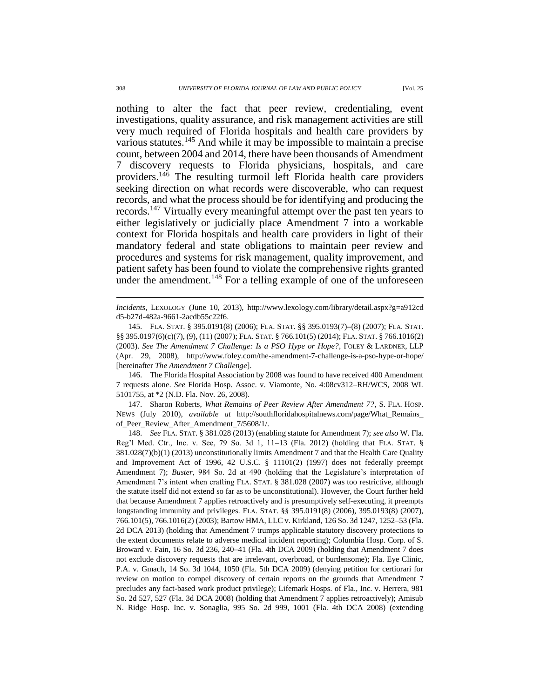nothing to alter the fact that peer review, credentialing, event investigations, quality assurance, and risk management activities are still very much required of Florida hospitals and health care providers by various statutes.<sup>145</sup> And while it may be impossible to maintain a precise count, between 2004 and 2014, there have been thousands of Amendment 7 discovery requests to Florida physicians, hospitals, and care providers.<sup>146</sup> The resulting turmoil left Florida health care providers seeking direction on what records were discoverable, who can request records, and what the process should be for identifying and producing the records.<sup>147</sup> Virtually every meaningful attempt over the past ten years to either legislatively or judicially place Amendment 7 into a workable context for Florida hospitals and health care providers in light of their mandatory federal and state obligations to maintain peer review and procedures and systems for risk management, quality improvement, and patient safety has been found to violate the comprehensive rights granted under the amendment.<sup>148</sup> For a telling example of one of the unforeseen

146. The Florida Hospital Association by 2008 was found to have received 400 Amendment 7 requests alone. *See* Florida Hosp. Assoc. v. Viamonte, No. 4:08cv312–RH/WCS, 2008 WL 5101755, at \*2 (N.D. Fla. Nov. 26, 2008).

147. Sharon Roberts, *What Remains of Peer Review After Amendment 7?*, S. FLA. HOSP. NEWS (July 2010), *available at* http://southfloridahospitalnews.com/page/What\_Remains\_ of\_Peer\_Review\_After\_Amendment\_7/5608/1/.

148. *See* FLA. STAT. § 381.028 (2013) (enabling statute for Amendment 7); *see also* W. Fla. Reg'l Med. Ctr., Inc. v. See, 79 So. 3d 1, 11**–**13 (Fla. 2012) (holding that FLA. STAT. § 381.028(7)(b)(1) (2013) unconstitutionally limits Amendment 7 and that the Health Care Quality and Improvement Act of 1996, 42 U.S.C. § 11101(2) (1997) does not federally preempt Amendment 7); *Buster*, 984 So. 2d at 490 (holding that the Legislature's interpretation of Amendment 7's intent when crafting FLA. STAT. § 381.028 (2007) was too restrictive, although the statute itself did not extend so far as to be unconstitutional). However, the Court further held that because Amendment 7 applies retroactively and is presumptively self-executing, it preempts longstanding immunity and privileges. FLA. STAT. §§ 395.0191(8) (2006), 395.0193(8) (2007), 766.101(5), 766.1016(2) (2003); Bartow HMA, LLC v. Kirkland, 126 So. 3d 1247, 1252–53 (Fla. 2d DCA 2013) (holding that Amendment 7 trumps applicable statutory discovery protections to the extent documents relate to adverse medical incident reporting); Columbia Hosp. Corp. of S. Broward v. Fain, 16 So. 3d 236, 240–41 (Fla. 4th DCA 2009) (holding that Amendment 7 does not exclude discovery requests that are irrelevant, overbroad, or burdensome); Fla. Eye Clinic, P.A. v. Gmach, 14 So. 3d 1044, 1050 (Fla. 5th DCA 2009) (denying petition for certiorari for review on motion to compel discovery of certain reports on the grounds that Amendment 7 precludes any fact-based work product privilege); Lifemark Hosps. of Fla., Inc. v. Herrera, 981 So. 2d 527, 527 (Fla. 3d DCA 2008) (holding that Amendment 7 applies retroactively); Amisub N. Ridge Hosp. Inc. v. Sonaglia, 995 So. 2d 999, 1001 (Fla. 4th DCA 2008) (extending

*Incidents*, LEXOLOGY (June 10, 2013), http://www.lexology.com/library/detail.aspx?g=a912cd d5-b27d-482a-9661-2acdb55c22f6.

<sup>145.</sup> FLA. STAT. § 395.0191(8) (2006); FLA. STAT. §§ 395.0193(7)**–**(8) (2007); FLA. STAT. §§ 395.0197(6)(c)(7), (9), (11) (2007); FLA. STAT. § 766.101(5) (2014); FLA. STAT. § 766.1016(2) (2003). *See The Amendment 7 Challenge: Is a PSO Hype or Hope?*, FOLEY & LARDNER, LLP (Apr. 29, 2008), http://www.foley.com/the-amendment-7-challenge-is-a-pso-hype-or-hope/ [hereinafter *The Amendment 7 Challenge*].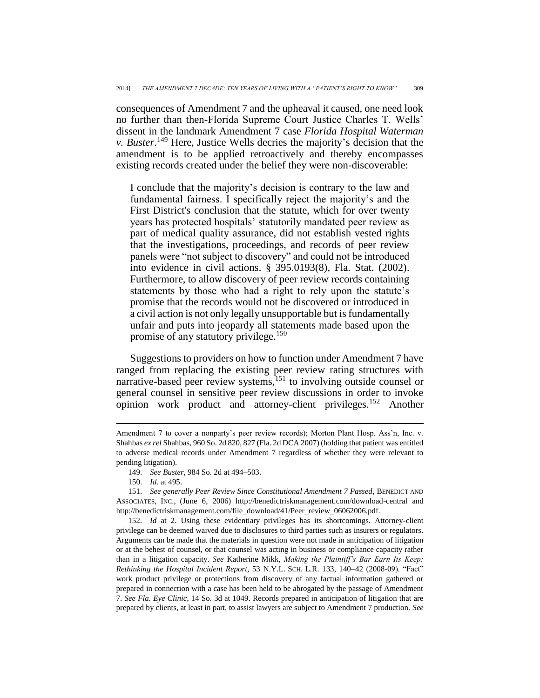consequences of Amendment 7 and the upheaval it caused, one need look no further than then-Florida Supreme Court Justice Charles T. Wells' dissent in the landmark Amendment 7 case *Florida Hospital Waterman v. Buster*. <sup>149</sup> Here, Justice Wells decries the majority's decision that the amendment is to be applied retroactively and thereby encompasses existing records created under the belief they were non-discoverable:

I conclude that the majority's decision is contrary to the law and fundamental fairness. I specifically reject the majority's and the First District's conclusion that the statute, which for over twenty years has protected hospitals' statutorily mandated peer review as part of medical quality assurance, did not establish vested rights that the investigations, proceedings, and records of peer review panels were "not subject to discovery" and could not be introduced into evidence in civil actions. § 395.0193(8), Fla. Stat. (2002). Furthermore, to allow discovery of peer review records containing statements by those who had a right to rely upon the statute's promise that the records would not be discovered or introduced in a civil action is not only legally unsupportable but is fundamentally unfair and puts into jeopardy all statements made based upon the promise of any statutory privilege.<sup>150</sup>

Suggestions to providers on how to function under Amendment 7 have ranged from replacing the existing peer review rating structures with narrative-based peer review systems, $^{151}$  to involving outside counsel or general counsel in sensitive peer review discussions in order to invoke opinion work product and attorney-client privileges.<sup>152</sup> Another

 $\overline{a}$ 

152. *Id* at 2*.* Using these evidentiary privileges has its shortcomings. Attorney-client privilege can be deemed waived due to disclosures to third parties such as insurers or regulators. Arguments can be made that the materials in question were not made in anticipation of litigation or at the behest of counsel, or that counsel was acting in business or compliance capacity rather than in a litigation capacity. *See* Katherine Mikk, *Making the Plaintiff's Bar Earn Its Keep: Rethinking the Hospital Incident Report*, 53 N.Y.L. SCH. L.R. 133, 140**–**42 (2008-09). "Fact" work product privilege or protections from discovery of any factual information gathered or prepared in connection with a case has been held to be abrogated by the passage of Amendment 7. *See Fla. Eye Clinic*, 14 So. 3d at 1049. Records prepared in anticipation of litigation that are prepared by clients, at least in part, to assist lawyers are subject to Amendment 7 production. *See*

Amendment 7 to cover a nonparty's peer review records); Morton Plant Hosp. Ass'n, Inc. v. Shahbas *ex rel* Shahbas, 960 So. 2d 820, 827 (Fla. 2d DCA 2007) (holding that patient was entitled to adverse medical records under Amendment 7 regardless of whether they were relevant to pending litigation).

<sup>149.</sup> *See Buster*, 984 So. 2d at 494–503.

<sup>150.</sup> *Id.* at 495.

<sup>151.</sup> *See generally Peer Review Since Constitutional Amendment 7 Passed*, BENEDICT AND ASSOCIATES, INC., (June 6, 2006) http://benedictriskmanagement.com/download-central and http://benedictriskmanagement.com/file\_download/41/Peer\_review\_06062006.pdf.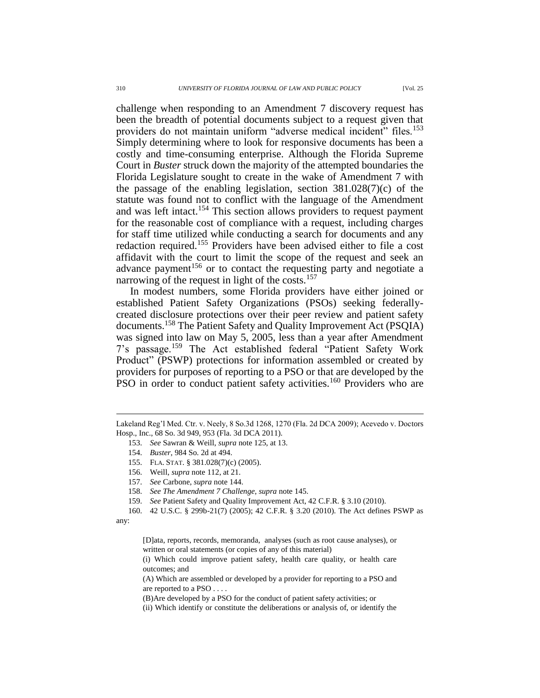challenge when responding to an Amendment 7 discovery request has been the breadth of potential documents subject to a request given that providers do not maintain uniform "adverse medical incident" files.<sup>153</sup> Simply determining where to look for responsive documents has been a costly and time-consuming enterprise. Although the Florida Supreme Court in *Buster* struck down the majority of the attempted boundaries the Florida Legislature sought to create in the wake of Amendment 7 with the passage of the enabling legislation, section  $381.028(7)(c)$  of the statute was found not to conflict with the language of the Amendment and was left intact.<sup>154</sup> This section allows providers to request payment for the reasonable cost of compliance with a request, including charges for staff time utilized while conducting a search for documents and any redaction required.<sup>155</sup> Providers have been advised either to file a cost affidavit with the court to limit the scope of the request and seek an advance payment<sup>156</sup> or to contact the requesting party and negotiate a narrowing of the request in light of the costs.<sup>157</sup>

In modest numbers, some Florida providers have either joined or established Patient Safety Organizations (PSOs) seeking federallycreated disclosure protections over their peer review and patient safety documents.<sup>158</sup> The Patient Safety and Quality Improvement Act (PSQIA) was signed into law on May 5, 2005, less than a year after Amendment 7's passage.<sup>159</sup> The Act established federal "Patient Safety Work Product" (PSWP) protections for information assembled or created by providers for purposes of reporting to a PSO or that are developed by the PSO in order to conduct patient safety activities.<sup>160</sup> Providers who are

158. *See The Amendment 7 Challenge*, *supra* note 145.

Lakeland Reg'l Med. Ctr. v. Neely, 8 So.3d 1268, 1270 (Fla. 2d DCA 2009); Acevedo v. Doctors Hosp., Inc., 68 So. 3d 949, 953 (Fla. 3d DCA 2011).

<sup>153.</sup> *See* Sawran & Weill, *supra* note 125, at 13.

<sup>154.</sup> *Buster*, 984 So. 2d at 494.

<sup>155.</sup> FLA. STAT. § 381.028(7)(c) (2005).

<sup>156.</sup> Weill, *supra* note 112, at 21.

<sup>157.</sup> *See* Carbone, *supra* note 144.

<sup>159.</sup> *See* Patient Safety and Quality Improvement Act, 42 C.F.R. § 3.10 (2010).

<sup>160.</sup> 42 U.S.C. § 299b-21(7) (2005); 42 C.F.R. § 3.20 (2010). The Act defines PSWP as any:

<sup>[</sup>D]ata, reports, records, memoranda, analyses (such as root cause analyses), or written or oral statements (or copies of any of this material)

<sup>(</sup>i) Which could improve patient safety, health care quality, or health care outcomes; and

<sup>(</sup>A) Which are assembled or developed by a provider for reporting to a PSO and are reported to a PSO . . . .

<sup>(</sup>B)Are developed by a PSO for the conduct of patient safety activities; or

<sup>(</sup>ii) Which identify or constitute the deliberations or analysis of, or identify the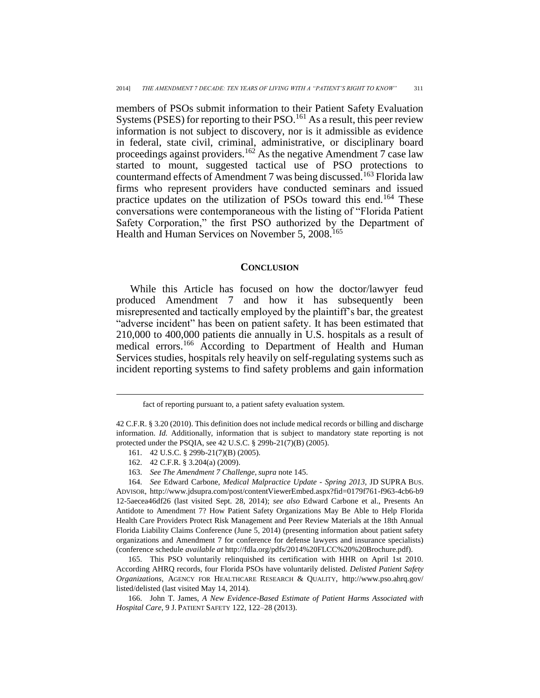members of PSOs submit information to their Patient Safety Evaluation Systems (PSES) for reporting to their PSO.<sup>161</sup> As a result, this peer review information is not subject to discovery, nor is it admissible as evidence in federal, state civil, criminal, administrative, or disciplinary board proceedings against providers.<sup>162</sup> As the negative Amendment 7 case law started to mount, suggested tactical use of PSO protections to countermand effects of Amendment 7 was being discussed.<sup>163</sup> Florida law firms who represent providers have conducted seminars and issued practice updates on the utilization of PSOs toward this end.<sup>164</sup> These conversations were contemporaneous with the listing of "Florida Patient Safety Corporation," the first PSO authorized by the Department of Health and Human Services on November 5, 2008.<sup>165</sup>

### **CONCLUSION**

While this Article has focused on how the doctor/lawyer feud produced Amendment 7 and how it has subsequently been misrepresented and tactically employed by the plaintiff's bar, the greatest "adverse incident" has been on patient safety. It has been estimated that 210,000 to 400,000 patients die annually in U.S. hospitals as a result of medical errors.<sup>166</sup> According to Department of Health and Human Services studies, hospitals rely heavily on self-regulating systems such as incident reporting systems to find safety problems and gain information

161. 42 U.S.C. § 299b-21(7)(B) (2005).

 $\overline{a}$ 

163. *See The Amendment 7 Challenge*, *supra* note 145.

fact of reporting pursuant to, a patient safety evaluation system.

<sup>42</sup> C.F.R. § 3.20 (2010). This definition does not include medical records or billing and discharge information. *Id.* Additionally, information that is subject to mandatory state reporting is not protected under the PSQIA, see 42 U.S.C. § 299b-21(7)(B) (2005).

<sup>162.</sup> 42 C.F.R. § 3.204(a) (2009).

<sup>164.</sup> *See* Edward Carbone, *Medical Malpractice Update - Spring 2013*, JD SUPRA BUS. ADVISOR, http://www.jdsupra.com/post/contentViewerEmbed.aspx?fid=0179f761-f963-4cb6-b9 12-5aecea46df26 (last visited Sept. 28, 2014); *see also* Edward Carbone et al., Presents An Antidote to Amendment 7? How Patient Safety Organizations May Be Able to Help Florida Health Care Providers Protect Risk Management and Peer Review Materials at the 18th Annual Florida Liability Claims Conference (June 5, 2014) (presenting information about patient safety organizations and Amendment 7 for conference for defense lawyers and insurance specialists) (conference schedule *available at* http://fdla.org/pdfs/2014%20FLCC%20%20Brochure.pdf).

<sup>165.</sup> This PSO voluntarily relinquished its certification with HHR on April 1st 2010. According AHRQ records, four Florida PSOs have voluntarily delisted. *Delisted Patient Safety Organizations*, AGENCY FOR HEALTHCARE RESEARCH & QUALITY, http://www.pso.ahrq.gov/ listed/delisted (last visited May 14, 2014).

<sup>166.</sup> John T. James, *A New Evidence-Based Estimate of Patient Harms Associated with Hospital Care*, 9 J. PATIENT SAFETY 122, 122–28 (2013).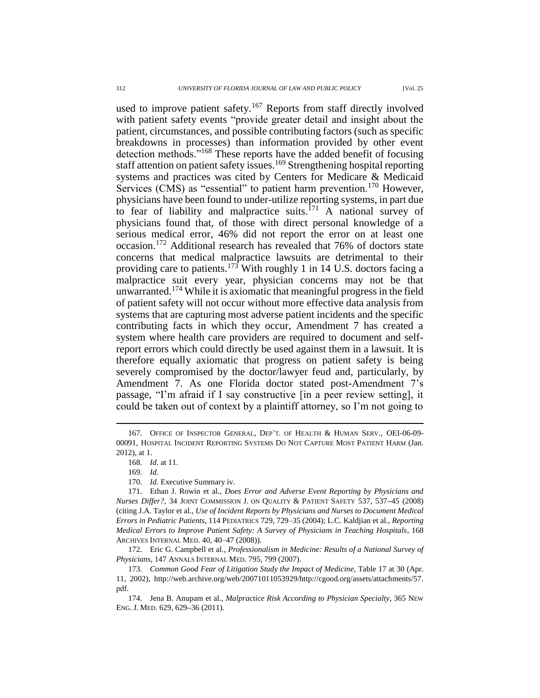used to improve patient safety.<sup>167</sup> Reports from staff directly involved with patient safety events "provide greater detail and insight about the patient, circumstances, and possible contributing factors (such as specific breakdowns in processes) than information provided by other event detection methods."<sup>168</sup> These reports have the added benefit of focusing staff attention on patient safety issues.<sup>169</sup> Strengthening hospital reporting systems and practices was cited by Centers for Medicare & Medicaid Services (CMS) as "essential" to patient harm prevention.<sup>170</sup> However, physicians have been found to under-utilize reporting systems, in part due to fear of liability and malpractice suits.<sup>171</sup> A national survey of physicians found that, of those with direct personal knowledge of a serious medical error, 46% did not report the error on at least one occasion.<sup>172</sup> Additional research has revealed that 76% of doctors state concerns that medical malpractice lawsuits are detrimental to their providing care to patients.<sup>173</sup> With roughly 1 in 14 U.S. doctors facing a malpractice suit every year, physician concerns may not be that unwarranted.<sup>174</sup> While it is axiomatic that meaningful progress in the field of patient safety will not occur without more effective data analysis from systems that are capturing most adverse patient incidents and the specific contributing facts in which they occur, Amendment 7 has created a system where health care providers are required to document and selfreport errors which could directly be used against them in a lawsuit. It is therefore equally axiomatic that progress on patient safety is being severely compromised by the doctor/lawyer feud and, particularly, by Amendment 7. As one Florida doctor stated post-Amendment 7's passage, "I'm afraid if I say constructive [in a peer review setting], it could be taken out of context by a plaintiff attorney, so I'm not going to

<sup>167.</sup> OFFICE OF INSPECTOR GENERAL, DEP'T. OF HEALTH & HUMAN SERV., OEI-06-09- 00091, HOSPITAL INCIDENT REPORTING SYSTEMS DO NOT CAPTURE MOST PATIENT HARM (Jan. 2012), at 1.

<sup>168.</sup> *Id.* at 11.

<sup>169.</sup> *Id.*

<sup>170.</sup> *Id.* Executive Summary iv.

<sup>171.</sup> Ethan J. Rowin et al., *Does Error and Adverse Event Reporting by Physicians and Nurses Differ?*, 34 JOINT COMMISSION J. ON QUALITY & PATIENT SAFETY 537, 537**–**45 (2008) (citing J.A. Taylor et al., *Use of Incident Reports by Physicians and Nurses to Document Medical Errors in Pediatric Patients*, 114 PEDIATRICS 729, 729–35 (2004); L.C. Kaldjian et al., *Reporting Medical Errors to Improve Patient Safety: A Survey of Physicians in Teaching Hospitals*, 168 ARCHIVES INTERNAL MED. 40, 40–47 (2008)).

<sup>172.</sup> Eric G. Campbell et al., *Professionalism in Medicine: Results of a National Survey of Physicians*, 147 ANNALS INTERNAL MED. 795, 799 (2007).

<sup>173.</sup> *Common Good Fear of Litigation Study the Impact of Medicine,* Table 17 at 30 (Apr. 11, 2002), http://web.archive.org/web/20071011053929/http://cgood.org/assets/attachments/57. pdf.

<sup>174.</sup> Jena B. Anupam et al., *Malpractice Risk According to Physician Specialty*, 365 NEW ENG. J. MED. 629, 629**–**36 (2011).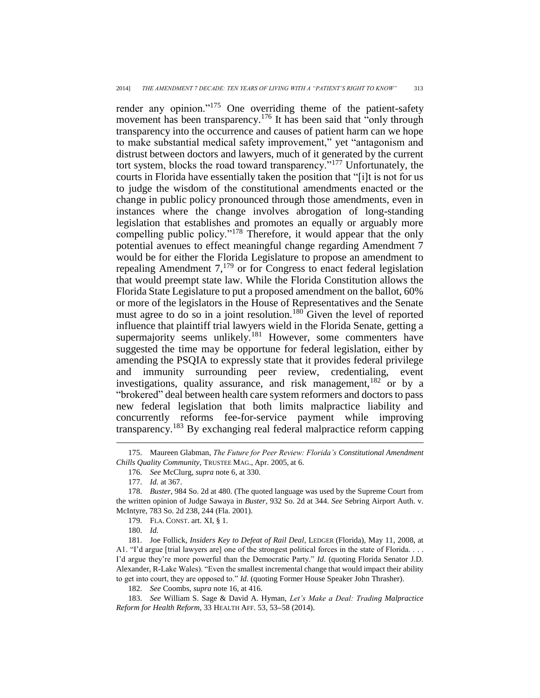render any opinion."<sup>175</sup> One overriding theme of the patient-safety movement has been transparency.<sup>176</sup> It has been said that "only through transparency into the occurrence and causes of patient harm can we hope to make substantial medical safety improvement," yet "antagonism and distrust between doctors and lawyers, much of it generated by the current tort system, blocks the road toward transparency."<sup>177</sup> Unfortunately, the courts in Florida have essentially taken the position that "[i]t is not for us to judge the wisdom of the constitutional amendments enacted or the change in public policy pronounced through those amendments, even in instances where the change involves abrogation of long-standing legislation that establishes and promotes an equally or arguably more compelling public policy."<sup>178</sup> Therefore, it would appear that the only potential avenues to effect meaningful change regarding Amendment 7 would be for either the Florida Legislature to propose an amendment to repealing Amendment  $7<sup>179</sup>$  or for Congress to enact federal legislation that would preempt state law. While the Florida Constitution allows the Florida State Legislature to put a proposed amendment on the ballot, 60% or more of the legislators in the House of Representatives and the Senate must agree to do so in a joint resolution.<sup>180</sup> Given the level of reported influence that plaintiff trial lawyers wield in the Florida Senate, getting a supermajority seems unlikely.<sup>181</sup> However, some commenters have suggested the time may be opportune for federal legislation, either by amending the PSQIA to expressly state that it provides federal privilege and immunity surrounding peer review, credentialing, event investigations, quality assurance, and risk management,  $182$  or by a "brokered" deal between health care system reformers and doctors to pass new federal legislation that both limits malpractice liability and concurrently reforms fee-for-service payment while improving transparency.<sup>183</sup> By exchanging real federal malpractice reform capping

 $\overline{a}$ 

181. Joe Follick, *Insiders Key to Defeat of Rail Deal*, LEDGER (Florida), May 11, 2008, at A1. "I'd argue [trial lawyers are] one of the strongest political forces in the state of Florida. . . . I'd argue they're more powerful than the Democratic Party." *Id.* (quoting Florida Senator J.D. Alexander, R-Lake Wales). "Even the smallest incremental change that would impact their ability to get into court, they are opposed to." *Id.* (quoting Former House Speaker John Thrasher).

182. *See* Coombs, *supra* note 16, at 416.

183. *See* William S. Sage & David A. Hyman, *Let's Make a Deal: Trading Malpractice Reform for Health Reform*, 33 HEALTH AFF. 53, 53**–**58 (2014).

<sup>175.</sup> Maureen Glabman, *The Future for Peer Review: Florida's Constitutional Amendment Chills Quality Community*, TRUSTEE MAG., Apr. 2005, at 6.

<sup>176.</sup> *See* McClurg, *supra* note 6, at 330.

<sup>177.</sup> *Id.* at 367.

<sup>178.</sup> *Buster*, 984 So. 2d at 480. (The quoted language was used by the Supreme Court from the written opinion of Judge Sawaya in *Buster*, 932 So. 2d at 344. *See* Sebring Airport Auth. v. McIntyre, 783 So. 2d 238, 244 (Fla. 2001).

<sup>179.</sup> FLA. CONST. art. XI, § 1.

<sup>180.</sup> *Id.*